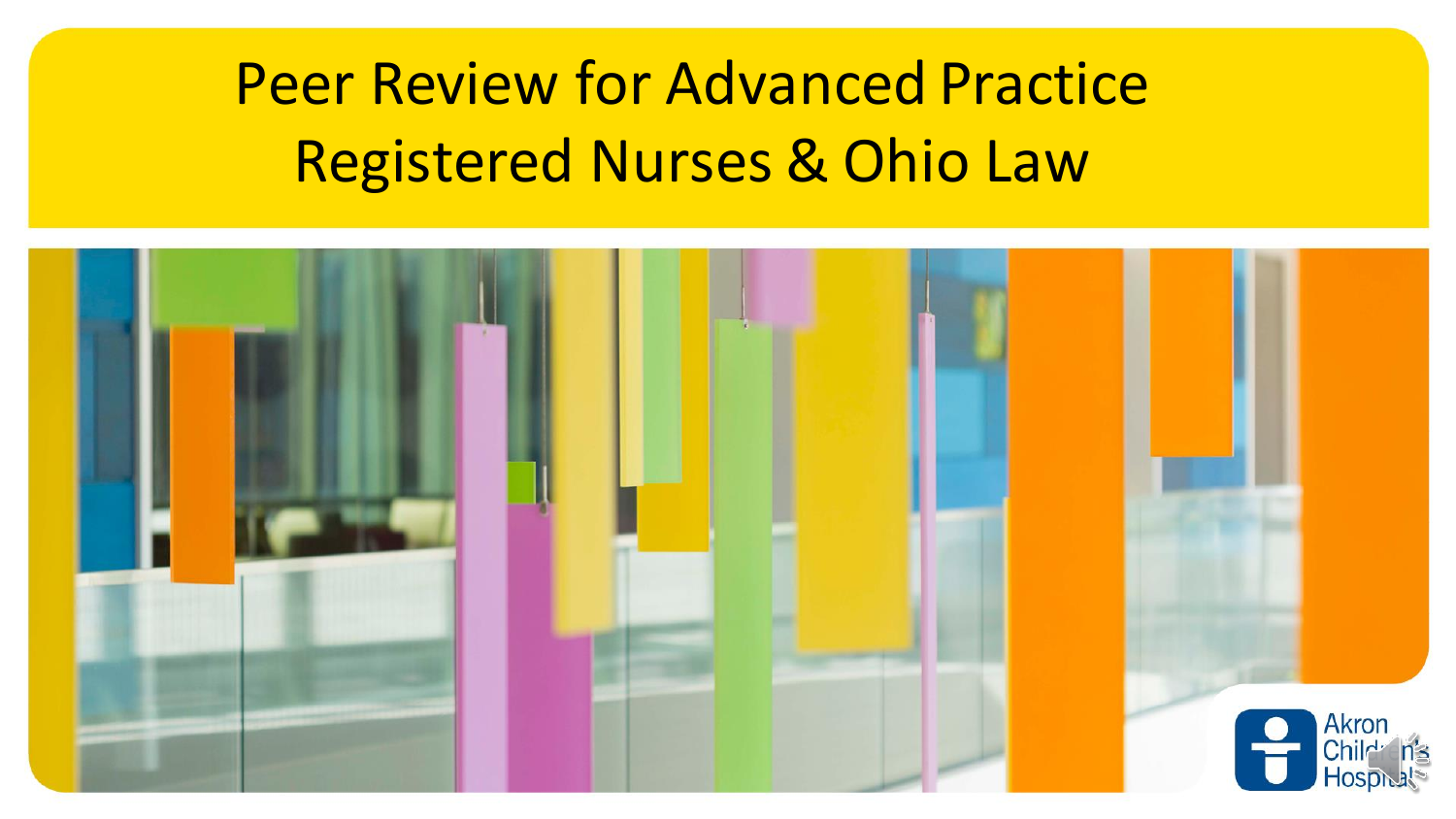# Peer Review for Advanced Practice Registered Nurses & Ohio Law

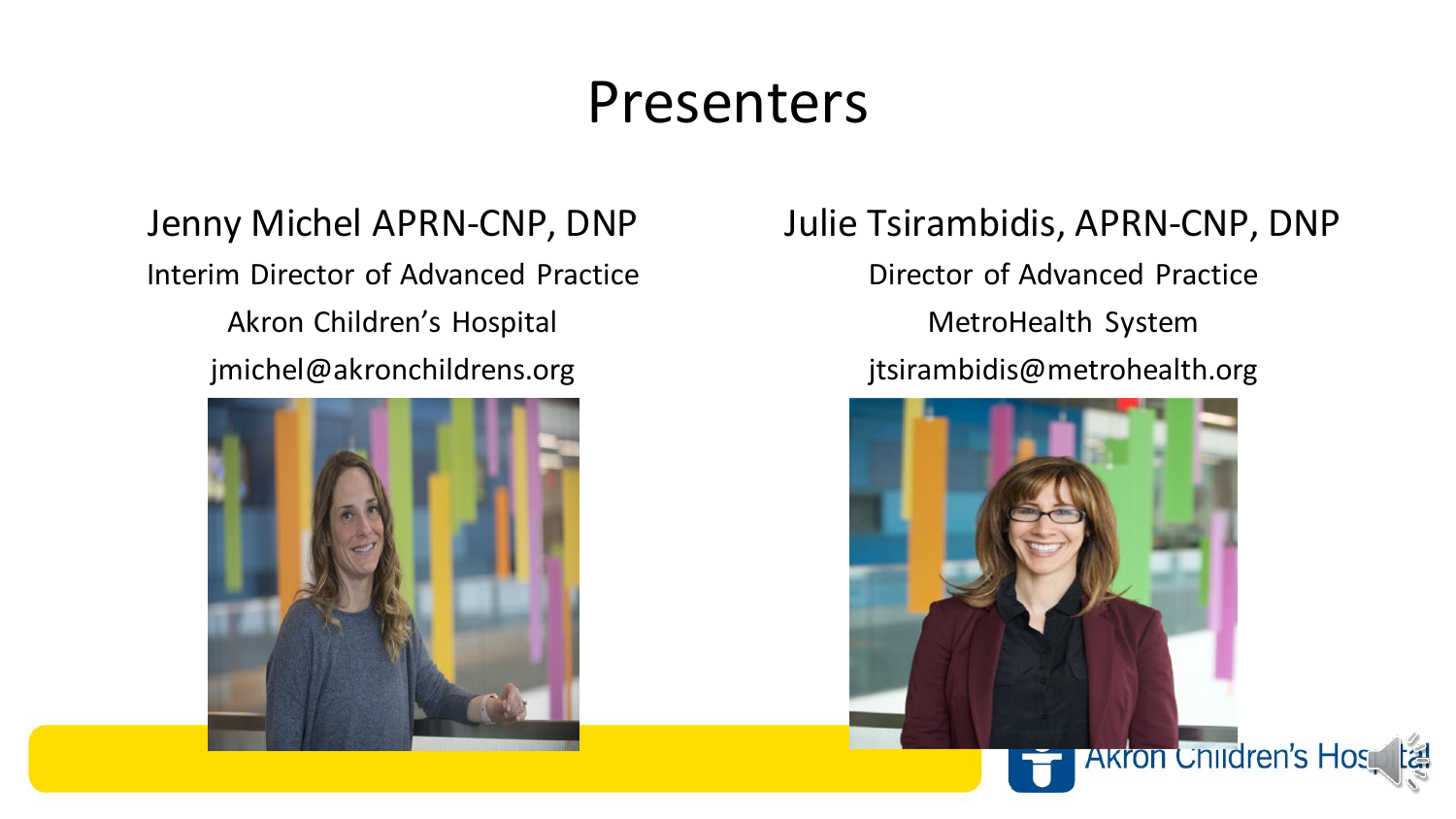#### Presenters

Jenny Michel APRN-CNP, DNP Interim Director of Advanced Practice Akron Children's Hospital jmichel@akronchildrens.org



Julie Tsirambidis, APRN-CNP, DNP

Director of Advanced Practice MetroHealth System jtsirambidis@metrohealth.org

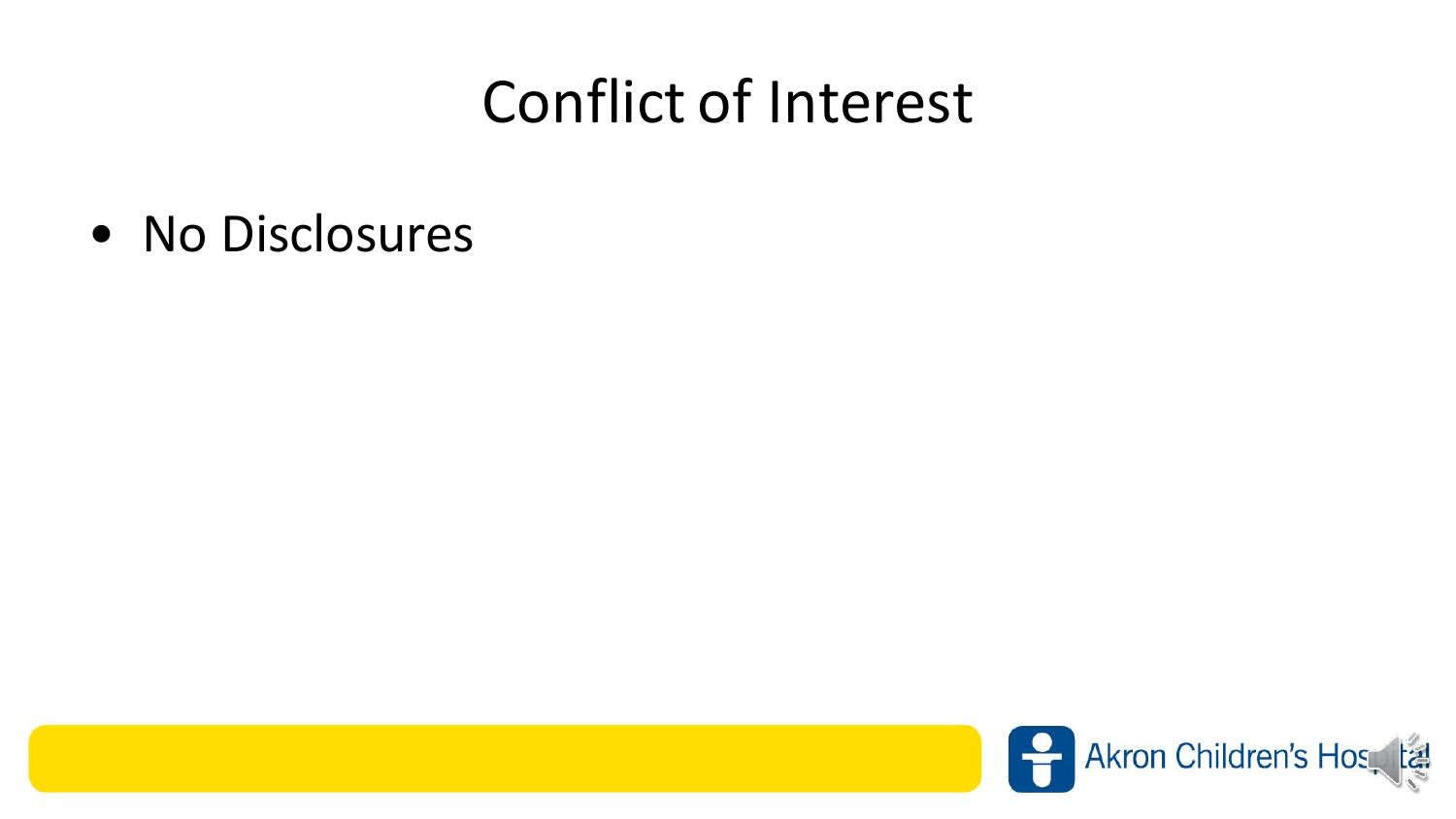#### Conflict of Interest

• No Disclosures

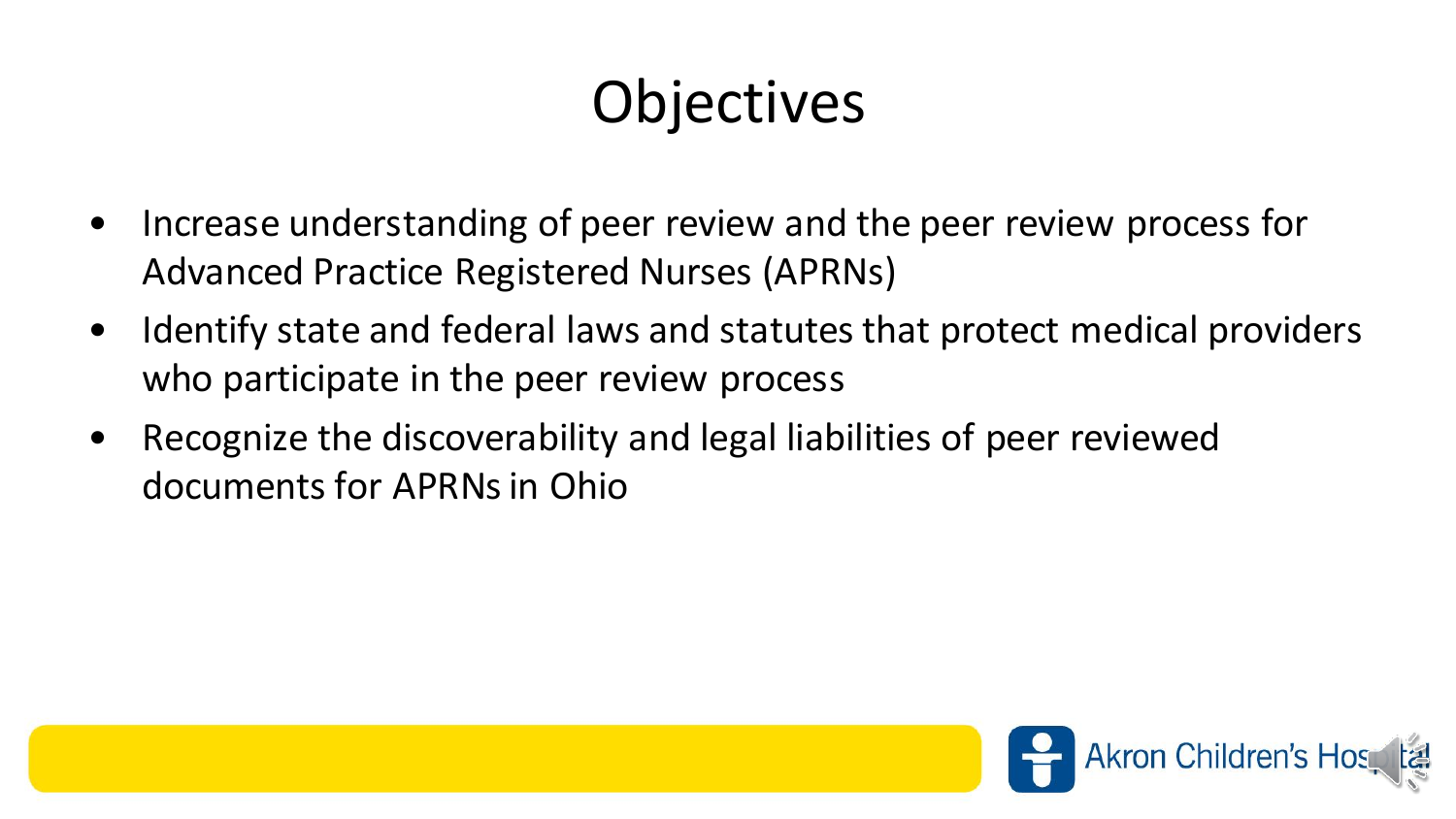# **Objectives**

- Increase understanding of peer review and the peer review process for Advanced Practice Registered Nurses (APRNs)
- Identify state and federal laws and statutes that protect medical providers who participate in the peer review process
- Recognize the discoverability and legal liabilities of peer reviewed documents for APRNs in Ohio

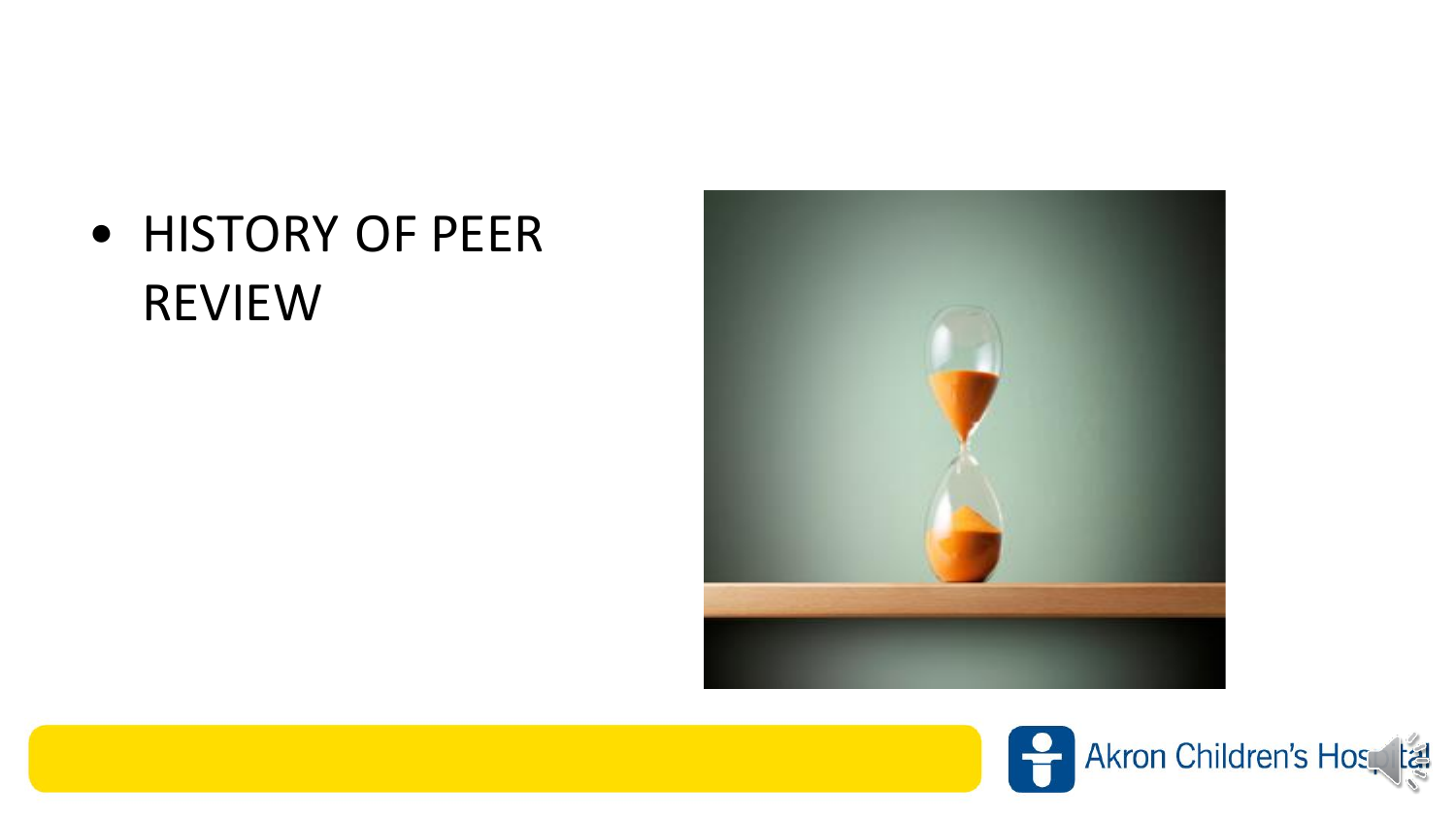#### • HISTORY OF PEER REVIEW



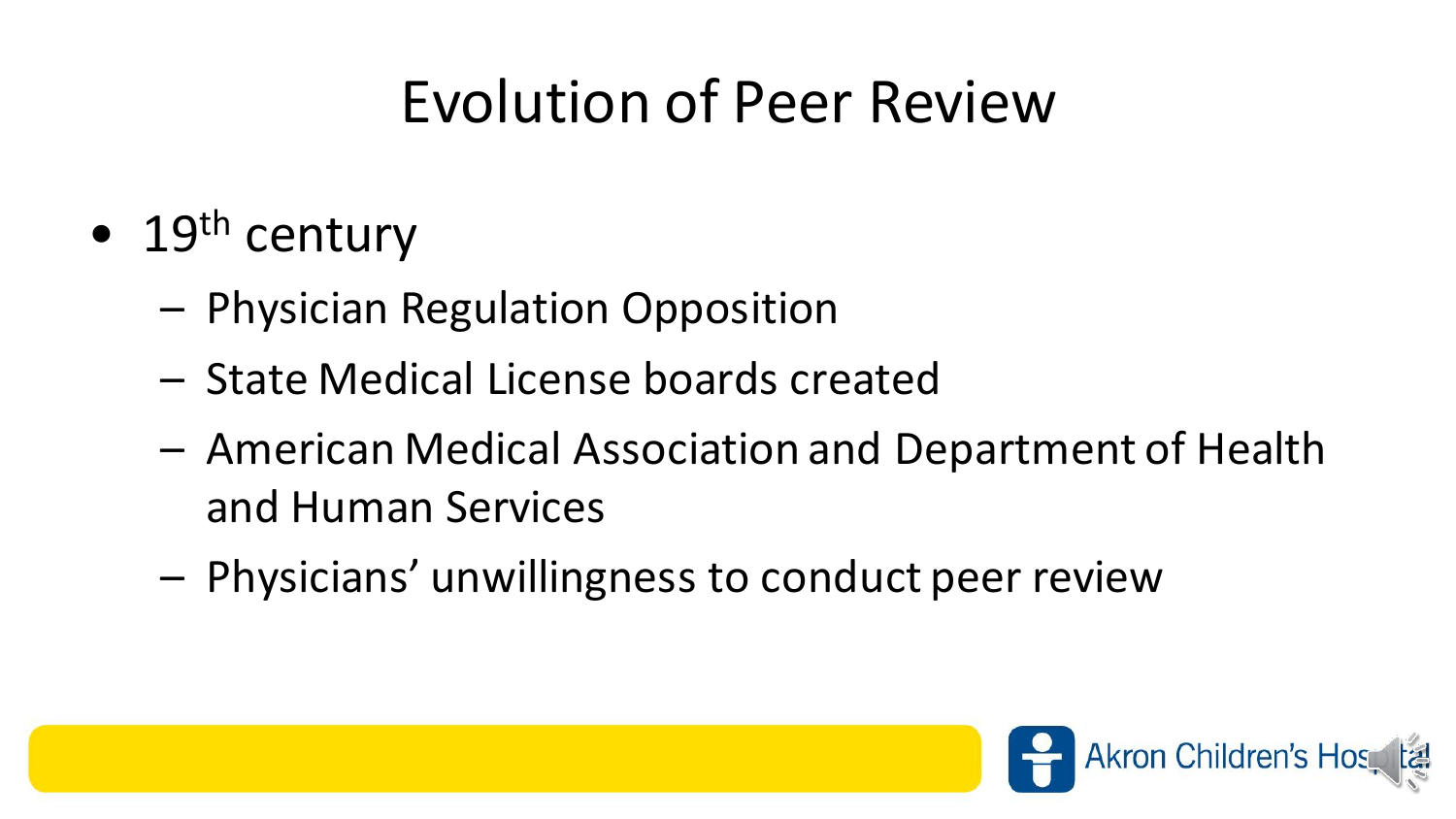# Evolution of Peer Review

- $\bullet$  19<sup>th</sup> century
	- Physician Regulation Opposition
	- State Medical License boards created
	- American Medical Association and Department of Health and Human Services
	- Physicians' unwillingness to conduct peer review

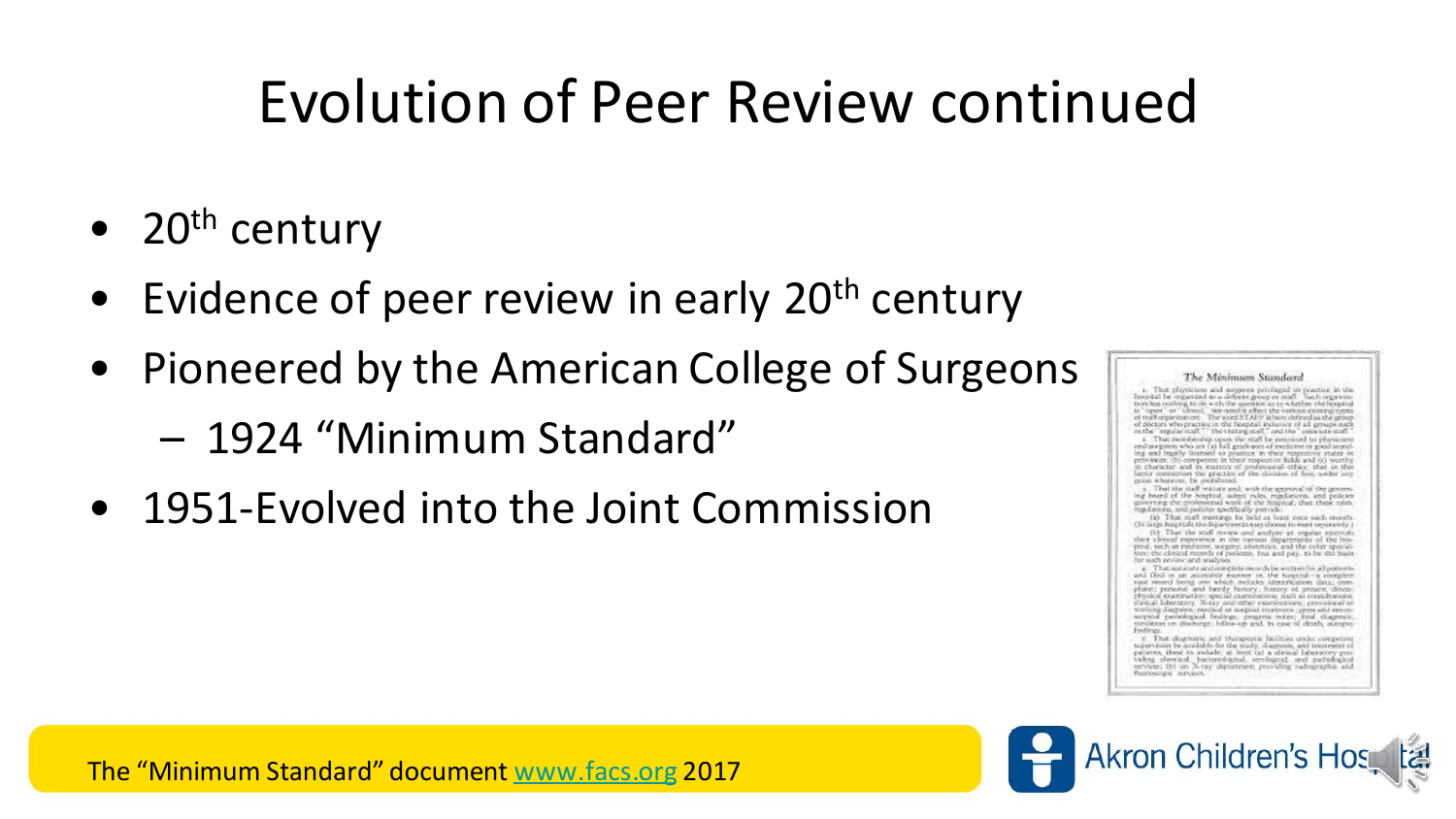#### Evolution of Peer Review continued

- $20<sup>th</sup>$  century
- Evidence of peer review in early 20<sup>th</sup> century
- Pioneered by the American College of Surgeons
	- 1924 "Minimum Standard"
- 1951-Evolved into the Joint Commission

The Minimum Standard 1. That physicians and suggests privileged to practice in the Inspirat be organized as a definite group or moff. Such organizer to "open" or "olosed," nor need it affect the various conting types<br>of staff organization. The word STAPP is here defined as the group of diction who practice in the hospital inclusive of all groups such<br>nethe "supplaceraft," the visiting staff," and the "associate staff"<br>z. That membership upon the staff be remeased to physicians and surgeres who are (a) hall produces of medicine in good sumsting and legally footned to prostrox. In their responsive superior of provinces, (b) component in their responsive substitutions, (b) weathy in the in the sta latter connection the practice of the division of fois, under any good whenever, be problemed. That the staff initiate and, with the approval of ing board of the hospital, admit rales, regulations, and policies egulations, and policies specifically provide: (is) That staff enottings be held at feast once each worsts. (in large hospitals the departments way shown to most separately.) (b) That the staff review and analyse at regular intervals then eleval experience in the various departments of the hos-<br>pital, such as medicine, surgery, obsertrics, and the coher specialex: the clinical recends of patients, free and pay, to be the basis r auth review and malytes. That applicate and intepleta records be written for all patients and filed in an accessible manner in the hospitaling complex-

paint two company and thereby reconstructions are<br>a phone of the painting process and the painting temperature of process<br>and the painting dependence of the painting dependence of the company<br>process and the company of the 4. That diagnoinic and therapistic facilities under compet

is<br>previous be available to the study, diagones, and to<br>interior of the study, density, these to reduce  $\mu$  <br>less to a divisor below the property provided between the particles of<br>the property and property and particles fuoroscopic survices.

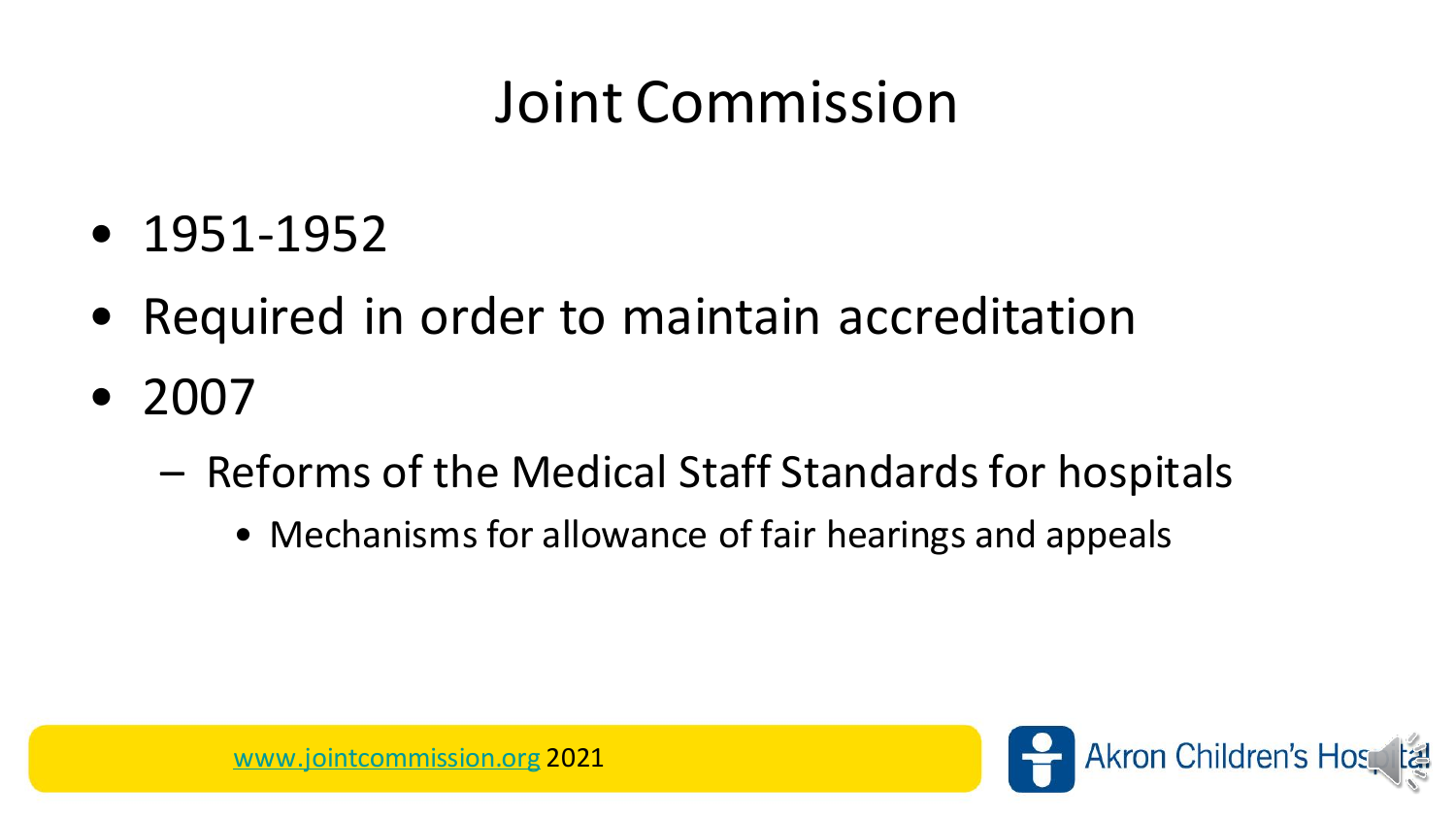#### Joint Commission

- 1951-1952
- Required in order to maintain accreditation
- 2007
	- Reforms of the Medical Staff Standards for hospitals
		- Mechanisms for allowance of fair hearings and appeals

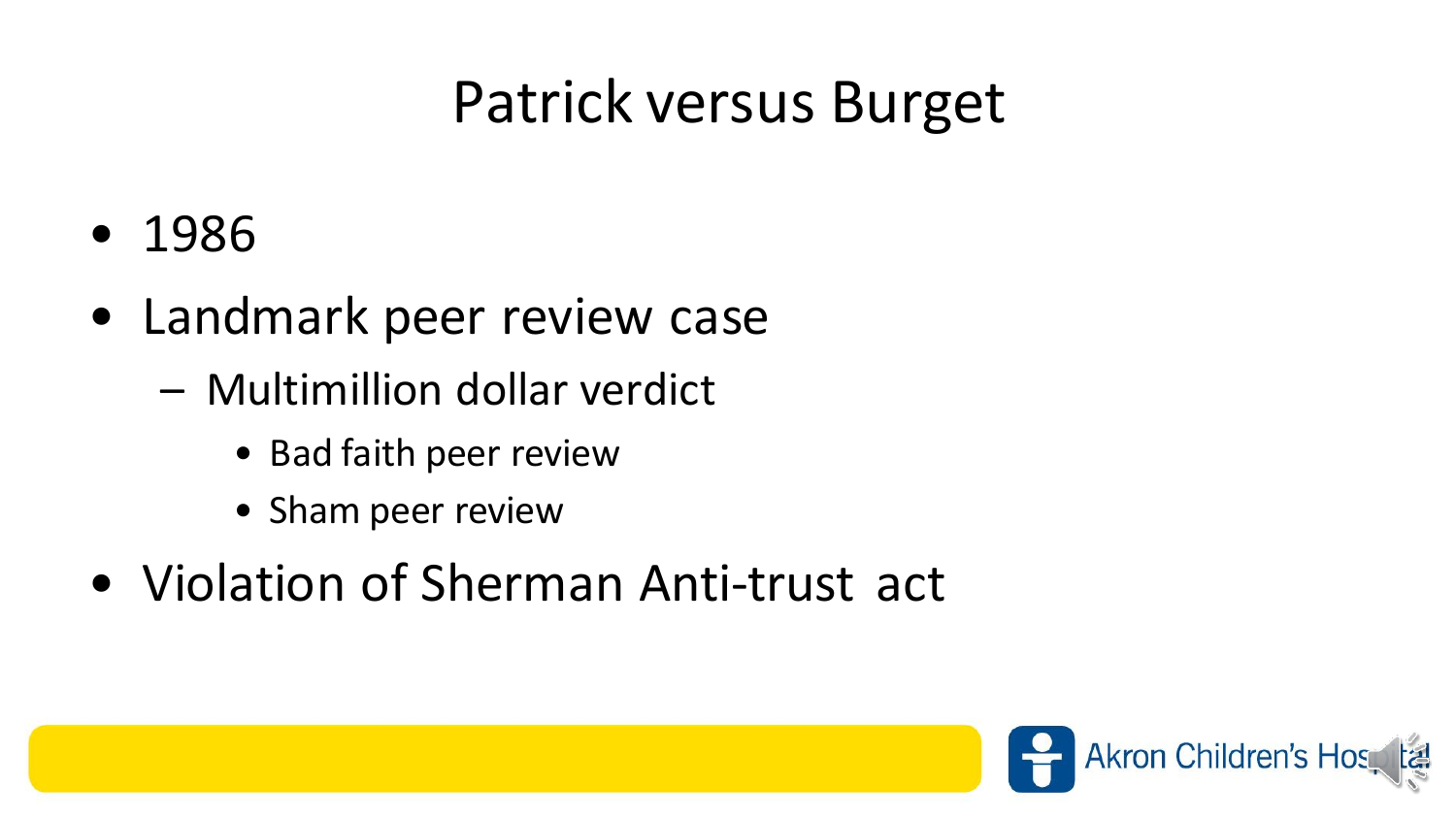#### Patrick versus Burget

- 1986
- Landmark peer review case
	- Multimillion dollar verdict
		- Bad faith peer review
		- Sham peer review
- Violation of Sherman Anti-trust act

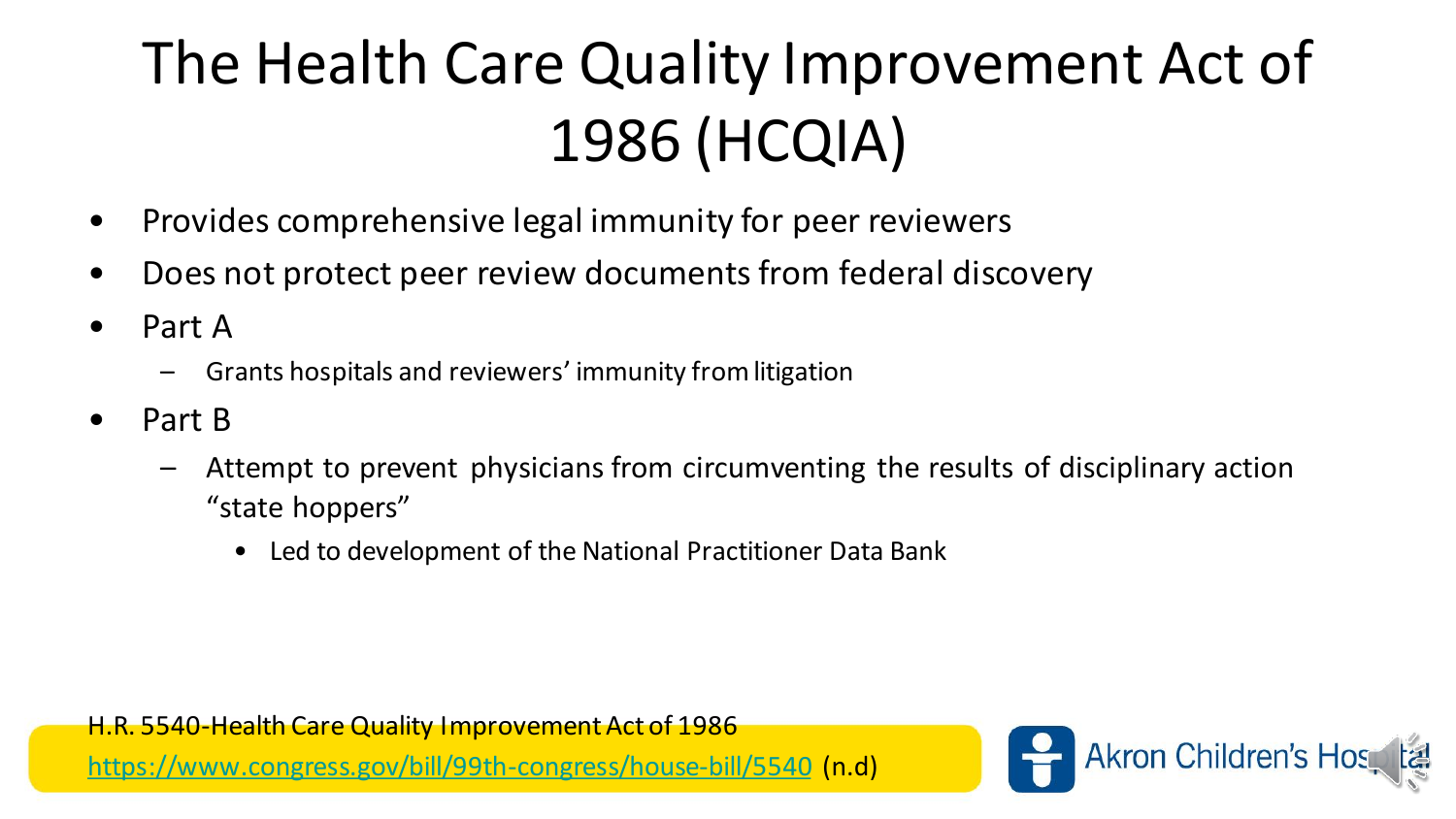# The Health Care Quality Improvement Act of 1986 (HCQIA)

- Provides comprehensive legal immunity for peer reviewers
- Does not protect peer review documents from federal discovery
- Part A
	- Grants hospitals and reviewers' immunity from litigation
- Part B
	- Attempt to prevent physicians from circumventing the results of disciplinary action "state hoppers"
		- Led to development of the National Practitioner Data Bank

H.R. 5540-Health Care Quality Improvement Act of 1986

<https://www.congress.gov/bill/99th-congress/house-bill/5540> (n.d)

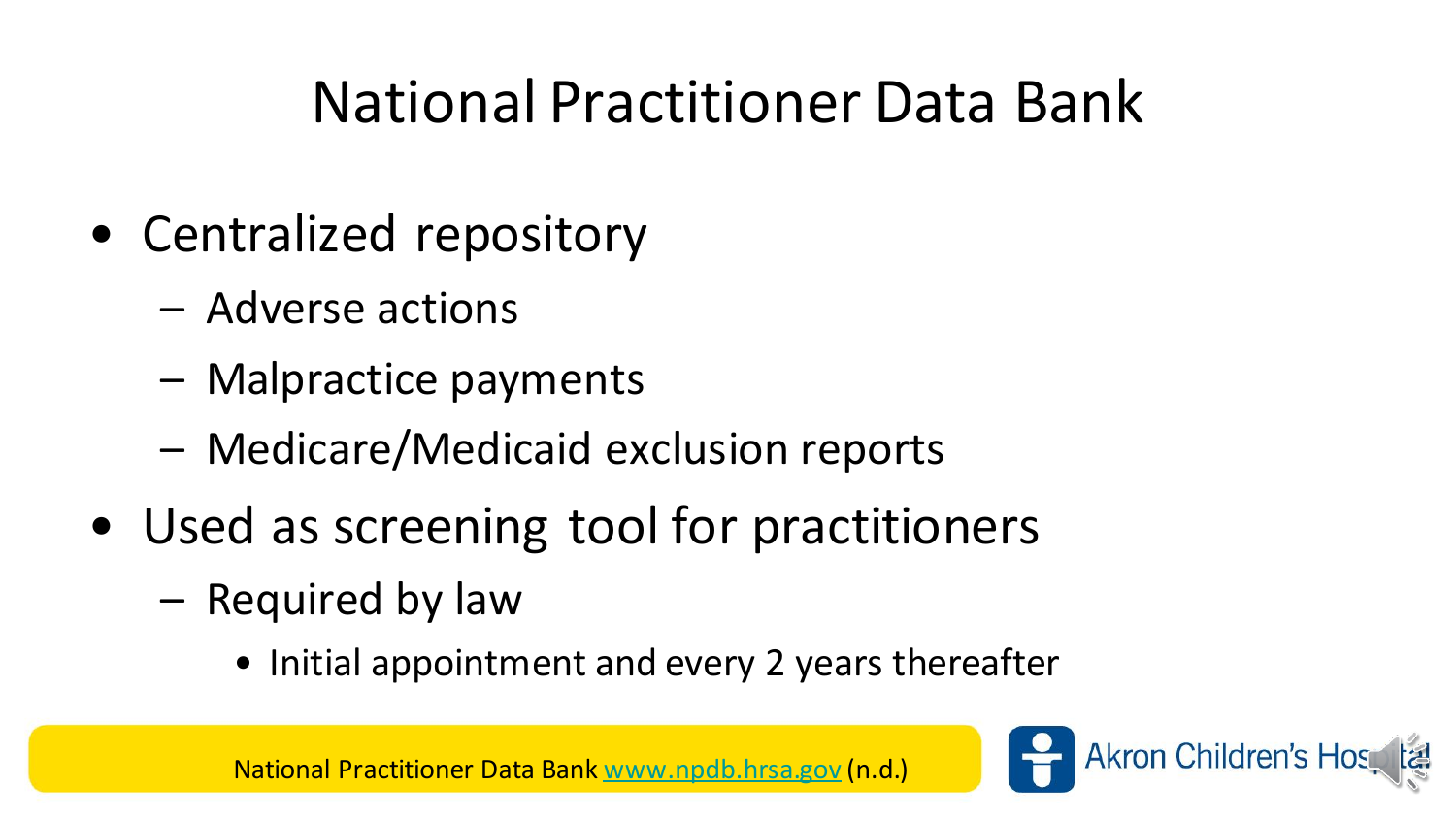#### National Practitioner Data Bank

- Centralized repository
	- Adverse actions
	- Malpractice payments
	- Medicare/Medicaid exclusion reports
- Used as screening tool for practitioners
	- Required by law
		- Initial appointment and every 2 years thereafter

National Practitioner Data Bank [www.npdb.hrsa.gov](http://www.npdb.hrsa.gov/) (n.d.)

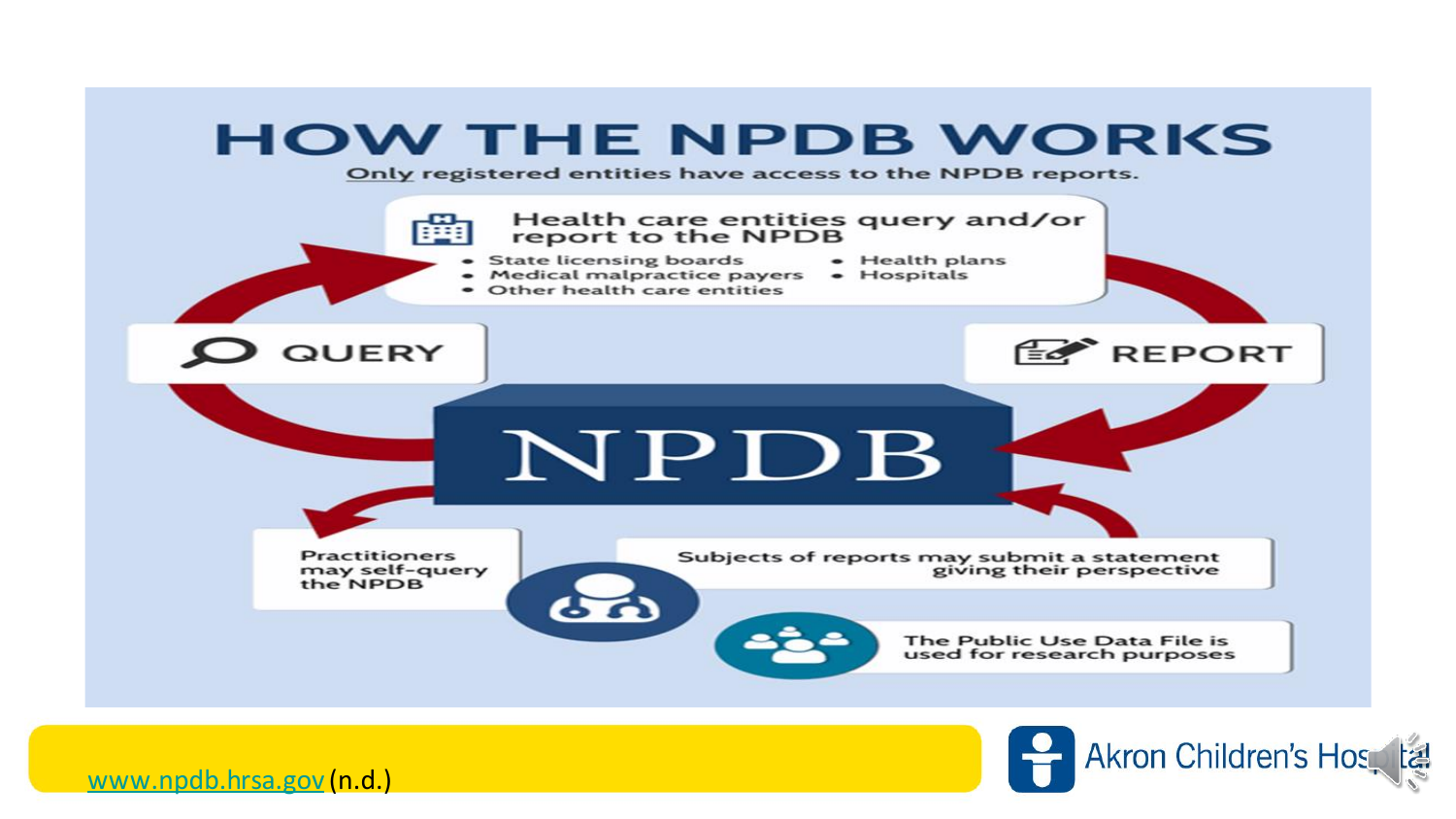



[www.npdb.hrsa.gov](http://www.npdb.hrsa.gov/) (n.d.)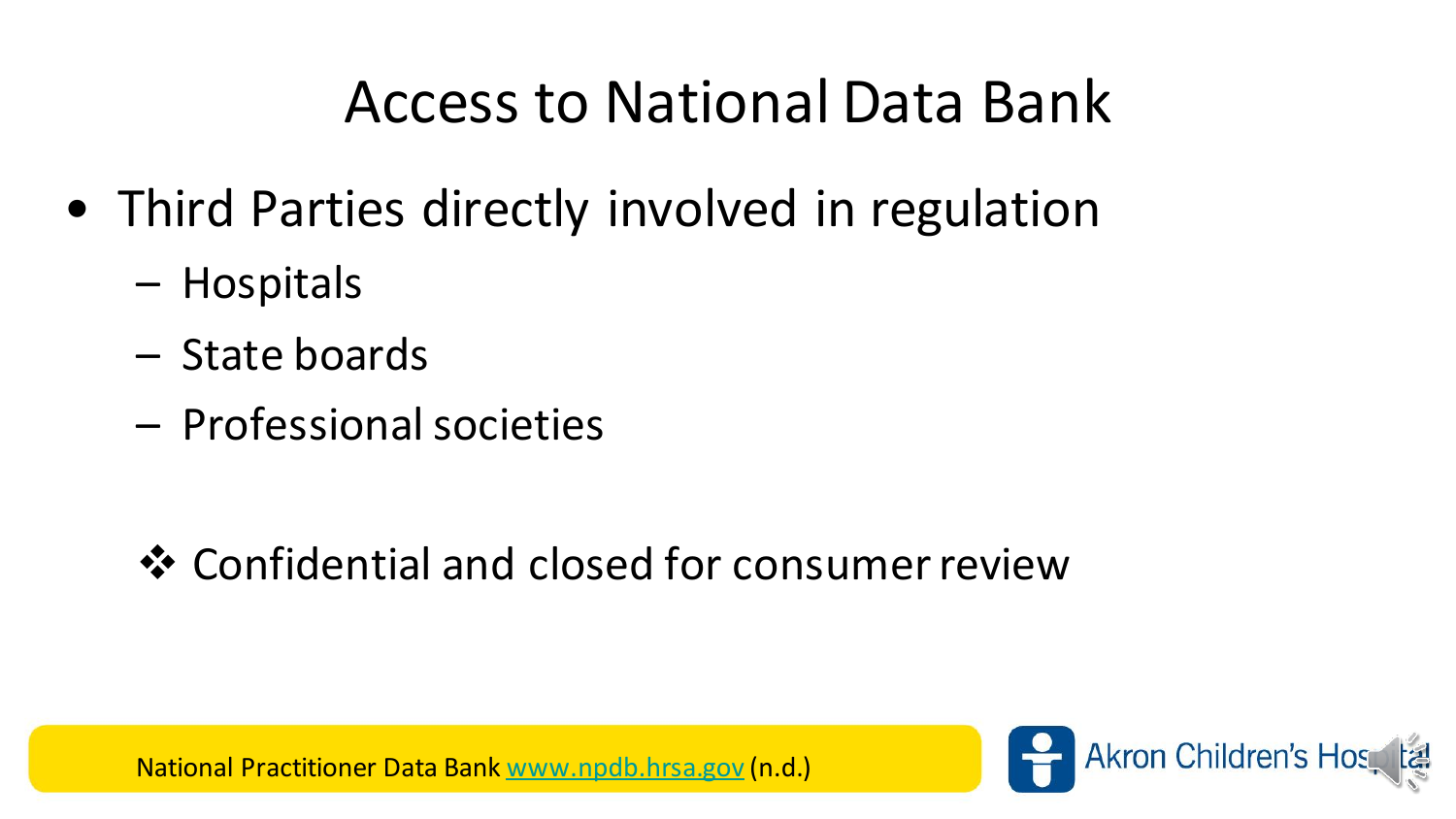#### Access to National Data Bank

- Third Parties directly involved in regulation
	- Hospitals
	- State boards
	- Professional societies

❖ Confidential and closed for consumer review

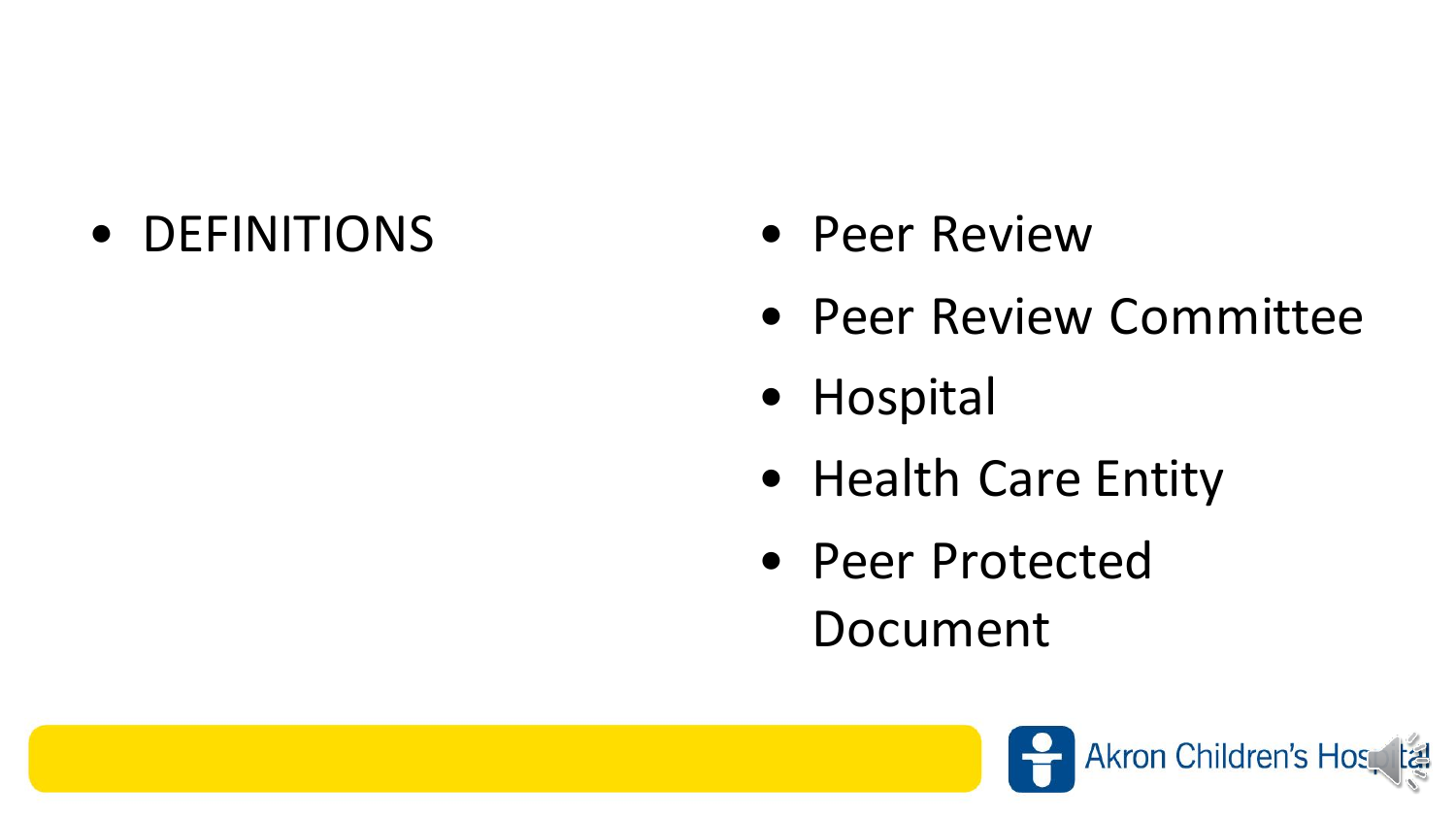#### • DEFINITIONS • Peer Review

- 
- Peer Review Committee
- Hospital
- Health Care Entity
- Peer Protected Document

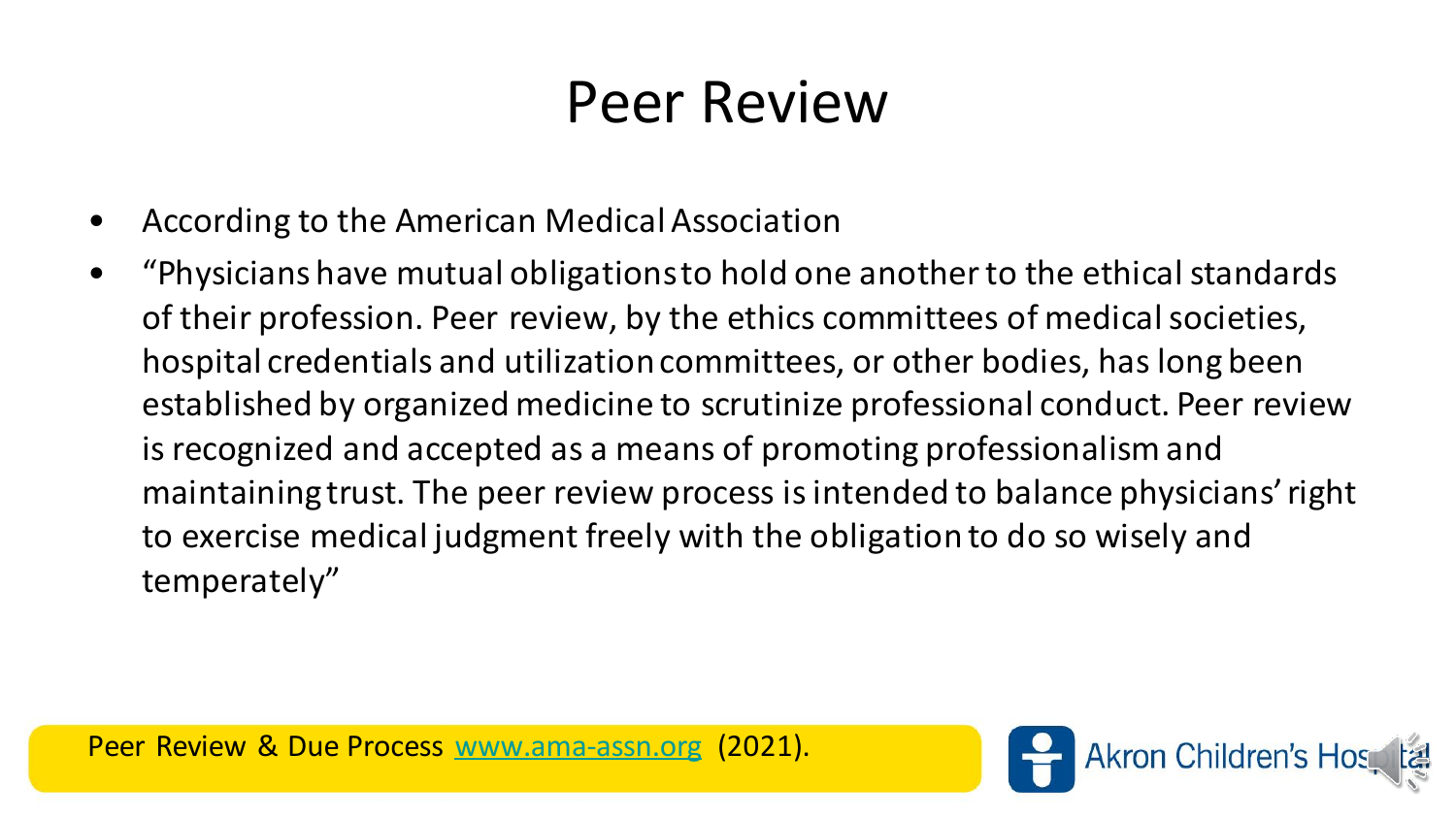#### Peer Review

- According to the American Medical Association
- "Physicians have mutual obligations to hold one another to the ethical standards of their profession. Peer review, by the ethics committees of medical societies, hospital credentials and utilization committees, or other bodies, has long been established by organized medicine to scrutinize professional conduct. Peer review is recognized and accepted as a means of promoting professionalism and maintaining trust. The peer review process is intended to balance physicians' right to exercise medical judgment freely with the obligation to do so wisely and temperately"

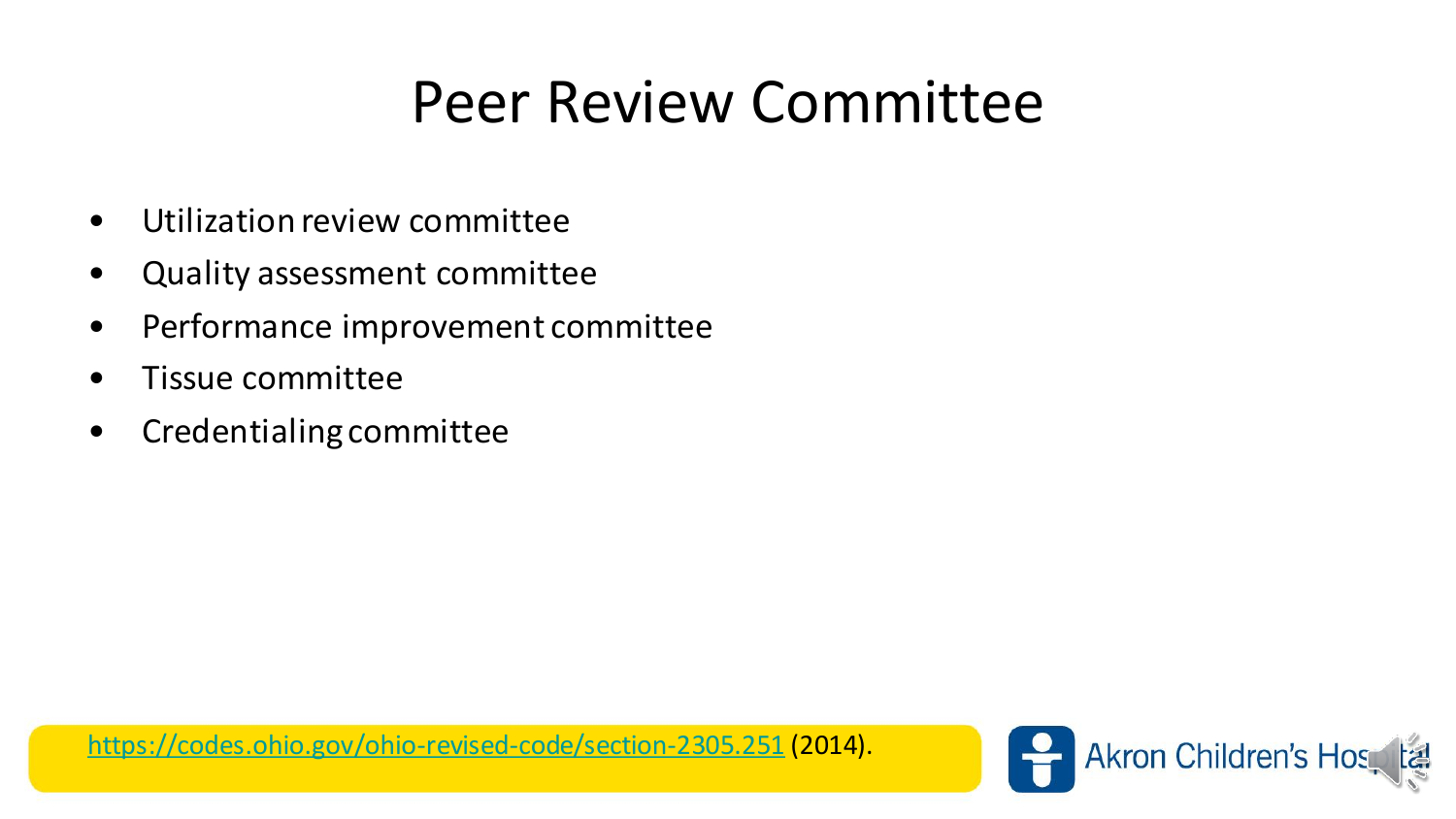#### Peer Review Committee

- Utilization review committee
- Quality assessment committee
- Performance improvement committee
- Tissue committee
- Credentialing committee

<https://codes.ohio.gov/ohio-revised-code/section-2305.251> (2014).

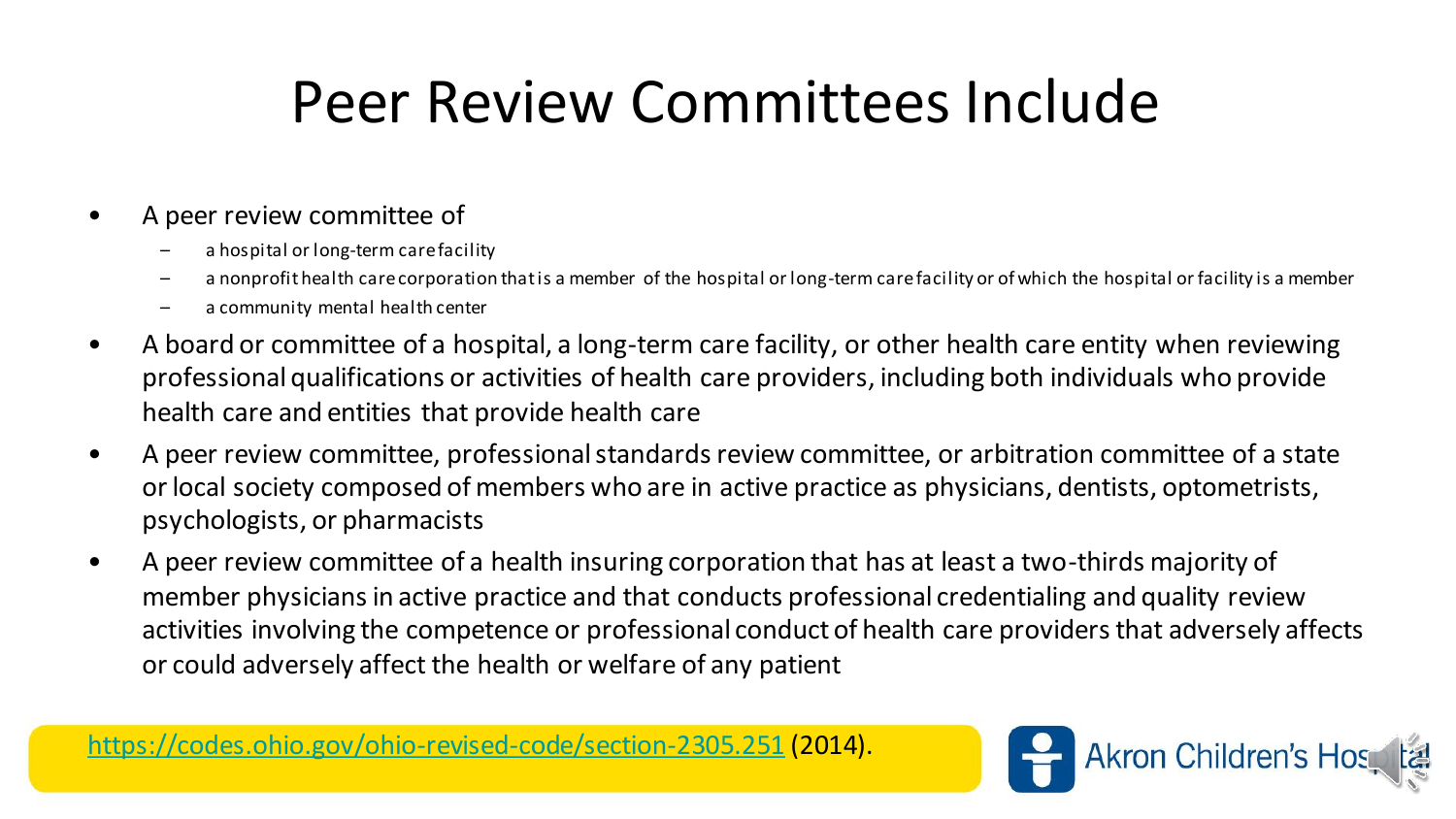#### Peer Review Committees Include

#### • A peer review committee of

- a hospital or long-term care facility
- a nonprofit health care corporation that is a member of the hospital or long-term care facility or of which the hospital or facility is a member
- a community mental health center
- A board or committee of a hospital, a long-term care facility, or other health care entity when reviewing professional qualifications or activities of health care providers, including both individuals who provide health care and entities that provide health care
- A peer review committee, professional standards review committee, or arbitration committee of a state or local society composed of members who are in active practice as physicians, dentists, optometrists, psychologists, or pharmacists
- A peer review committee of a health insuring corporation that has at least a two-thirds majority of member physicians in active practice and that conducts professional credentialing and quality review activities involving the competence or professional conduct of health care providers that adversely affects or could adversely affect the health or welfare of any patient

<https://codes.ohio.gov/ohio-revised-code/section-2305.251> (2014).

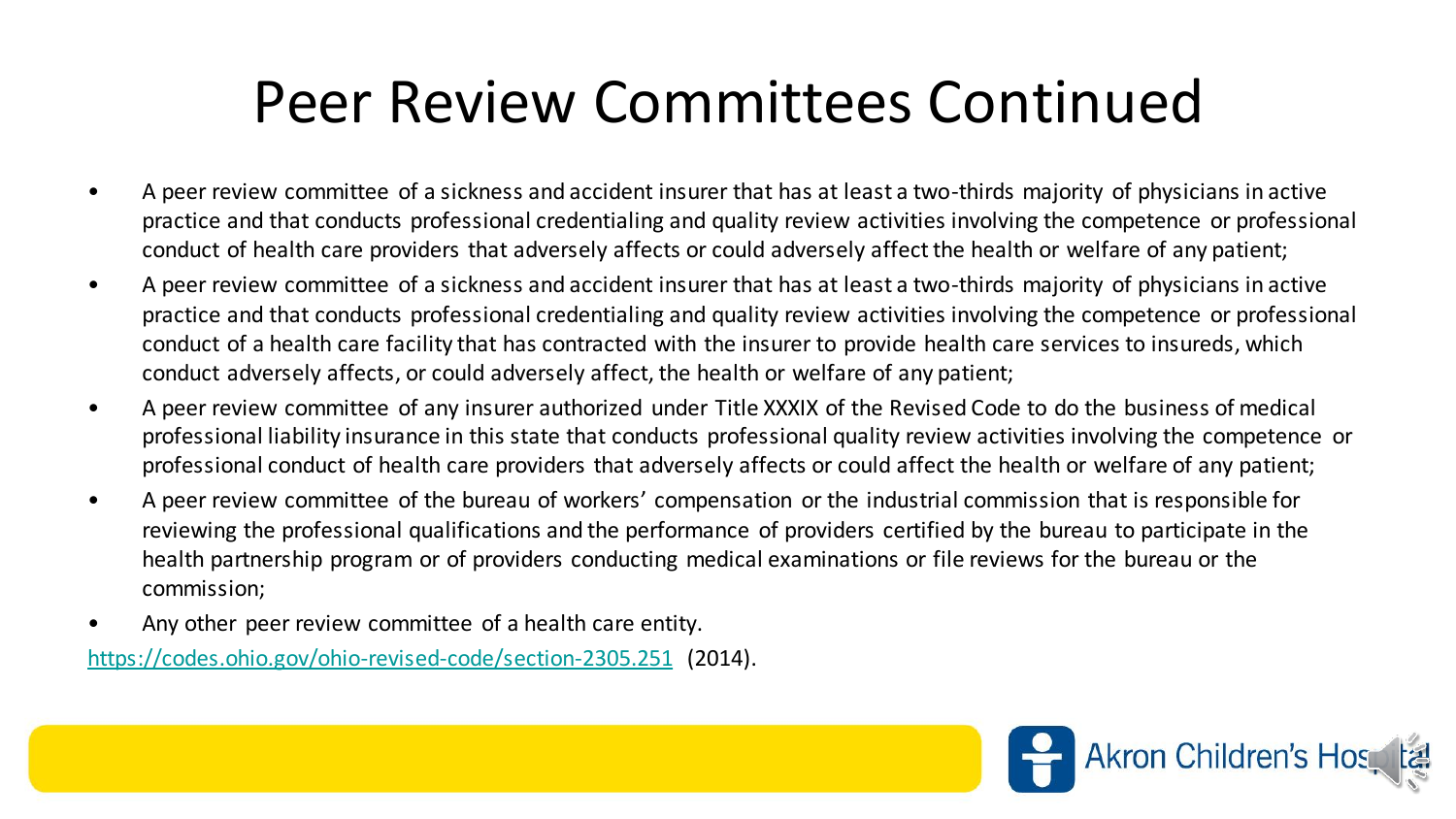#### Peer Review Committees Continued

- A peer review committee of a sickness and accident insurer that has at least a two-thirds majority of physicians in active practice and that conducts professional credentialing and quality review activities involving the competence or professional conduct of health care providers that adversely affects or could adversely affect the health or welfare of any patient;
- A peer review committee of a sickness and accident insurer that has at least a two-thirds majority of physicians in active practice and that conducts professional credentialing and quality review activities involving the competence or professional conduct of a health care facility that has contracted with the insurer to provide health care services to insureds, which conduct adversely affects, or could adversely affect, the health or welfare of any patient;
- A peer review committee of any insurer authorized under Title XXXIX of the Revised Code to do the business of medical professional liability insurance in this state that conducts professional quality review activities involving the competence or professional conduct of health care providers that adversely affects or could affect the health or welfare of any patient;
- A peer review committee of the bureau of workers' compensation or the industrial commission that is responsible for reviewing the professional qualifications and the performance of providers certified by the bureau to participate in the health partnership program or of providers conducting medical examinations or file reviews for the bureau or the commission;
- Any other peer review committee of a health care entity.

<https://codes.ohio.gov/ohio-revised-code/section-2305.251> (2014).

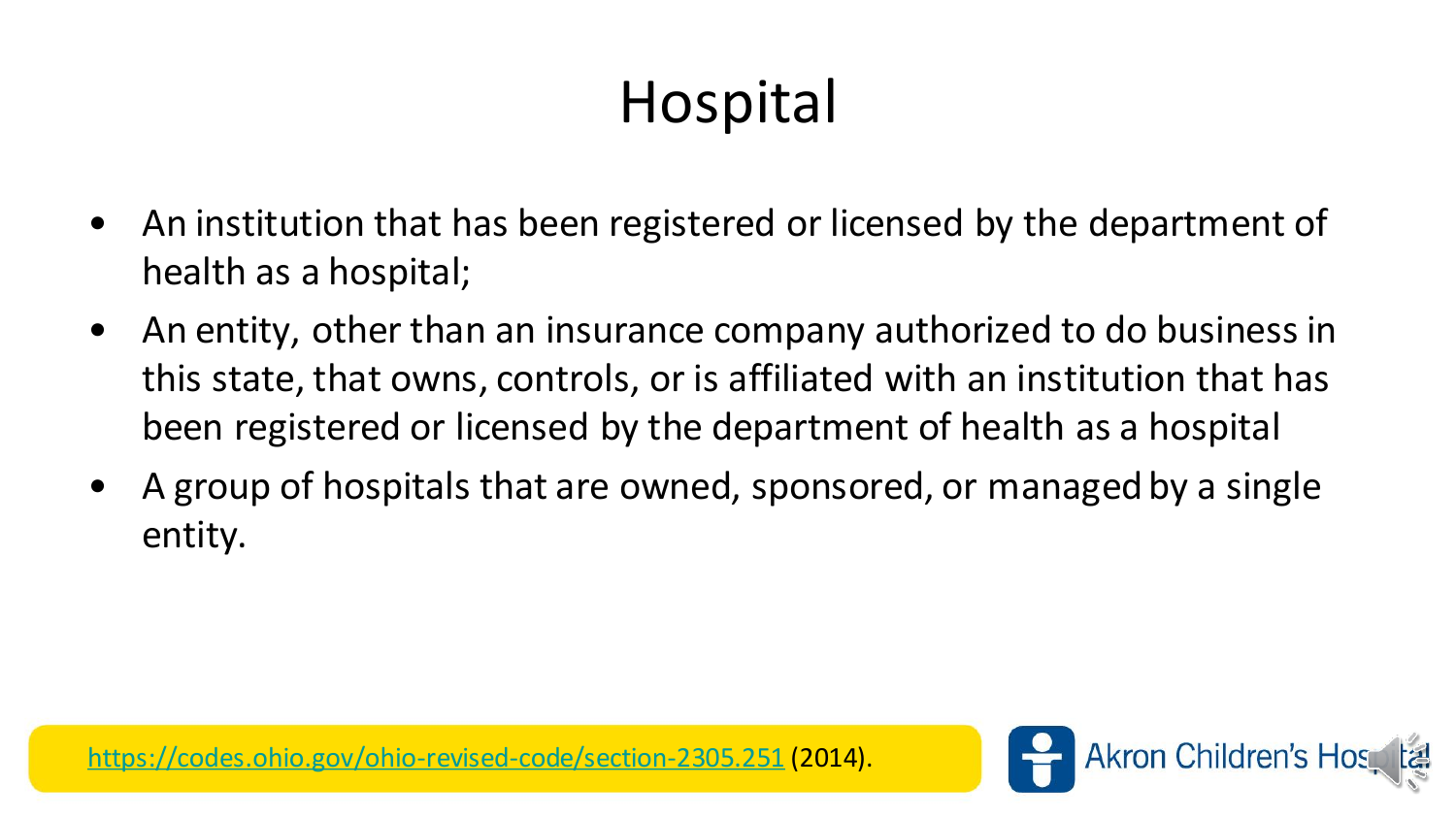# Hospital

- An institution that has been registered or licensed by the department of health as a hospital;
- An entity, other than an insurance company authorized to do business in this state, that owns, controls, or is affiliated with an institution that has been registered or licensed by the department of health as a hospital
- A group of hospitals that are owned, sponsored, or managed by a single entity.

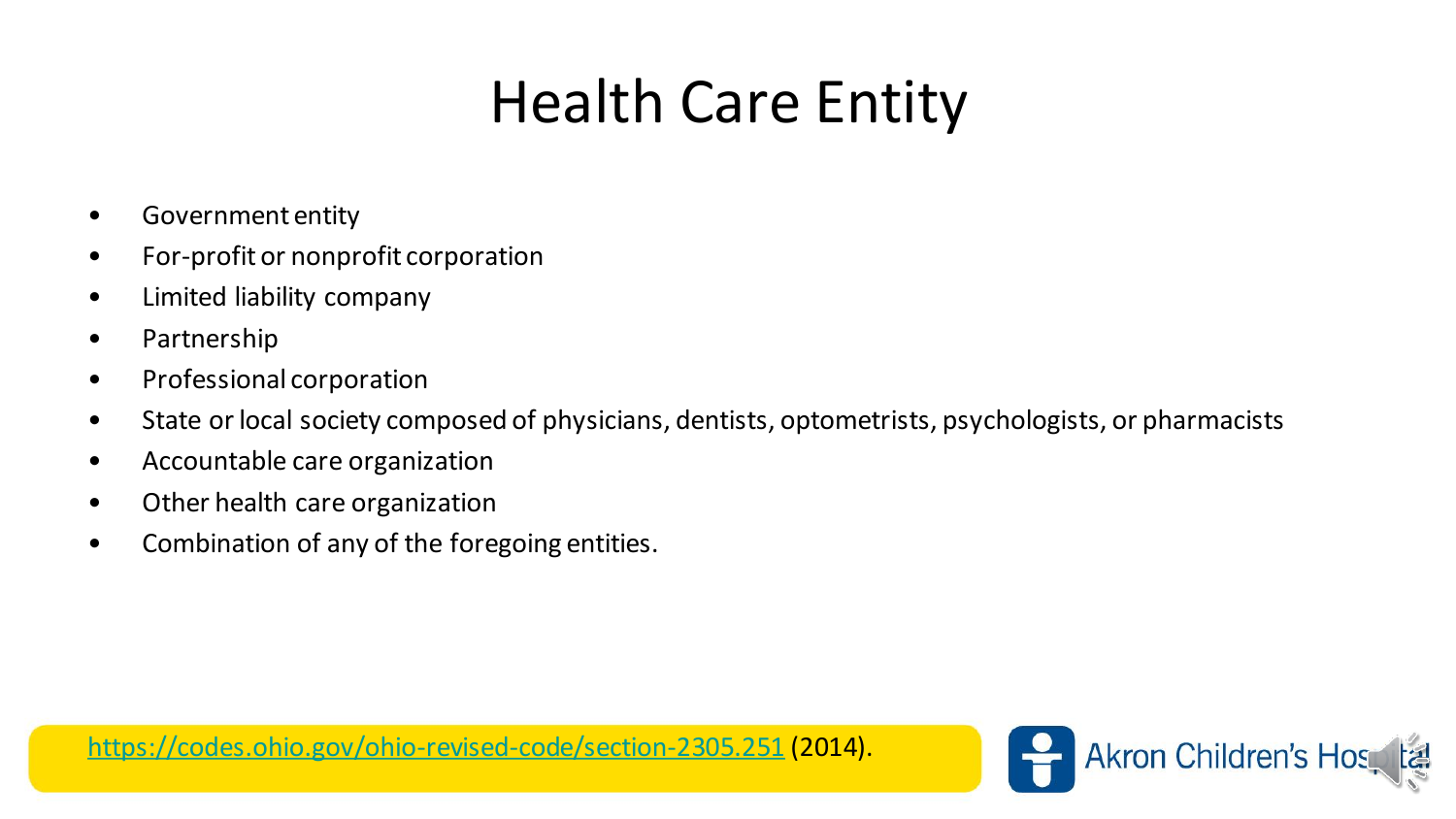#### Health Care Entity

- Government entity
- For-profit or nonprofit corporation
- Limited liability company
- Partnership
- Professional corporation
- State or local society composed of physicians, dentists, optometrists, psychologists, or pharmacists
- Accountable care organization
- Other health care organization
- Combination of any of the foregoing entities.

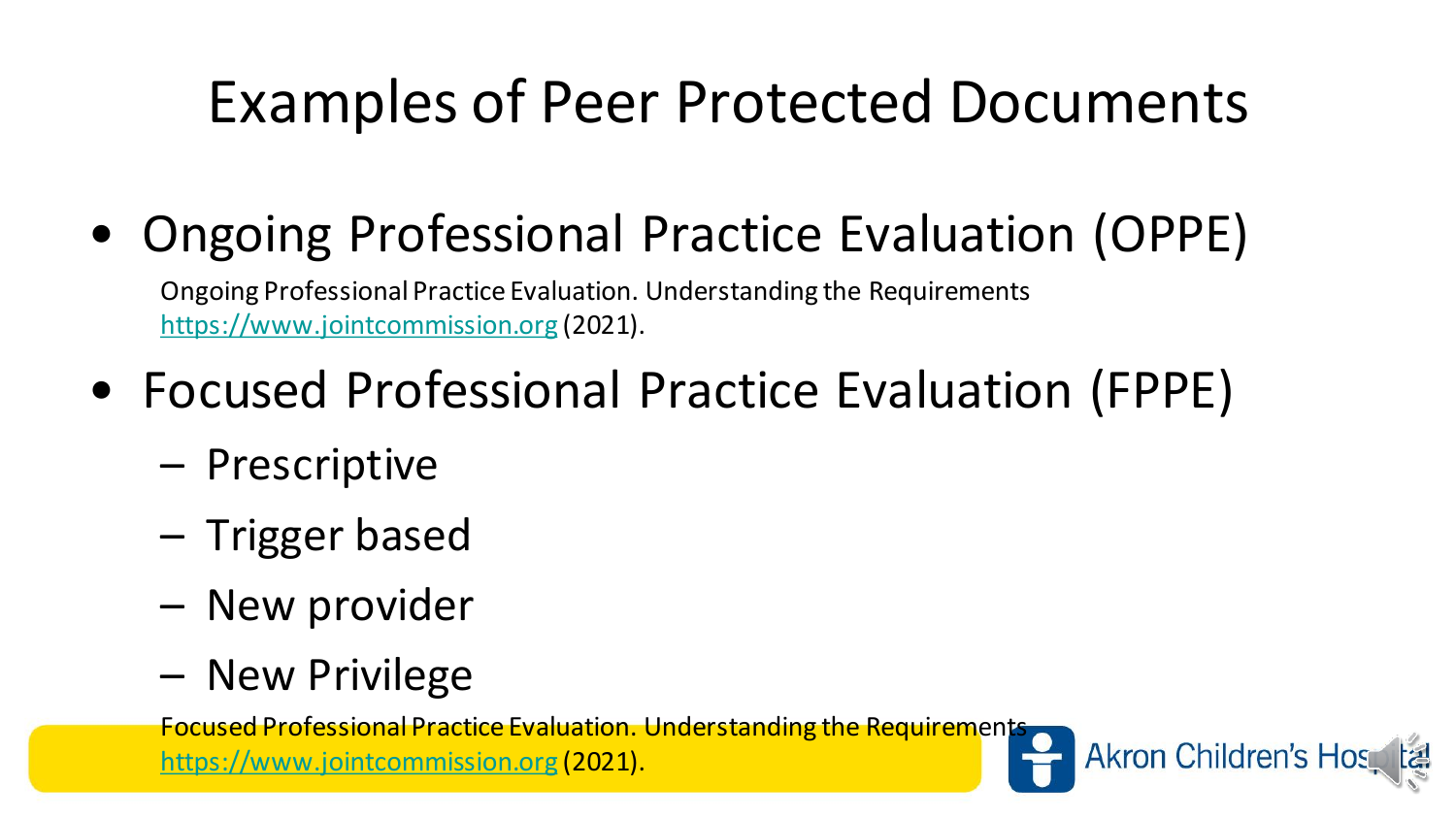# Examples of Peer Protected Documents

• Ongoing Professional Practice Evaluation (OPPE)

Ongoing Professional Practice Evaluation. Understanding the Requirements [https://www.jointcommission.org](https://www.jointcommission.org/) (2021).

- Focused Professional Practice Evaluation (FPPE)
	- Prescriptive
	- Trigger based
	- New provider
	- New Privilege

Focused Professional Practice Evaluation. Understanding the Requirements

[https://www.jointcommission.org](https://www.jointcommission.org/) (2021).

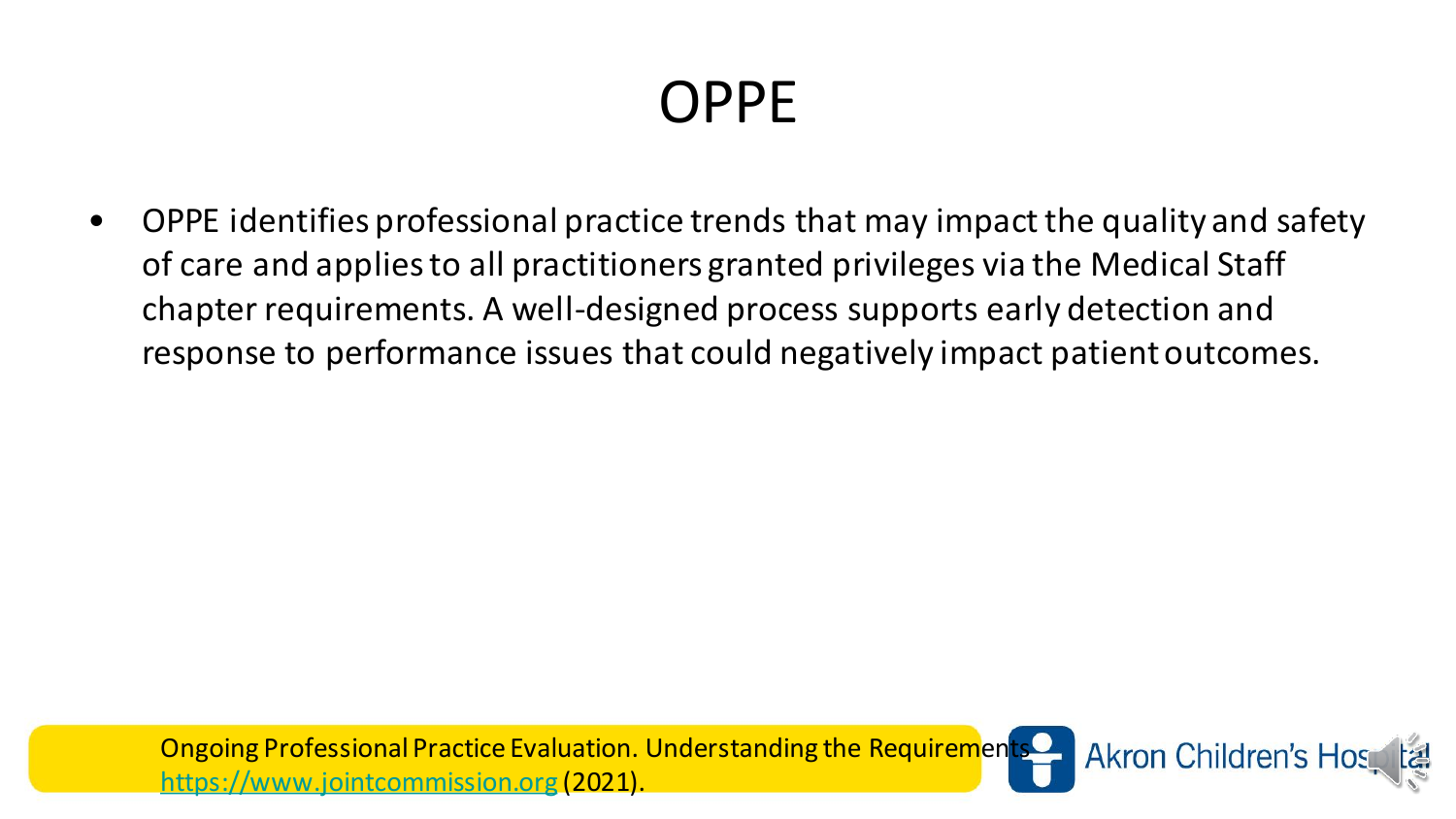#### OPPE

• OPPE identifies professional practice trends that may impact the quality and safety of care and applies to all practitioners granted privileges via the Medical Staff chapter requirements. A well-designed process supports early detection and response to performance issues that could negatively impact patient outcomes.

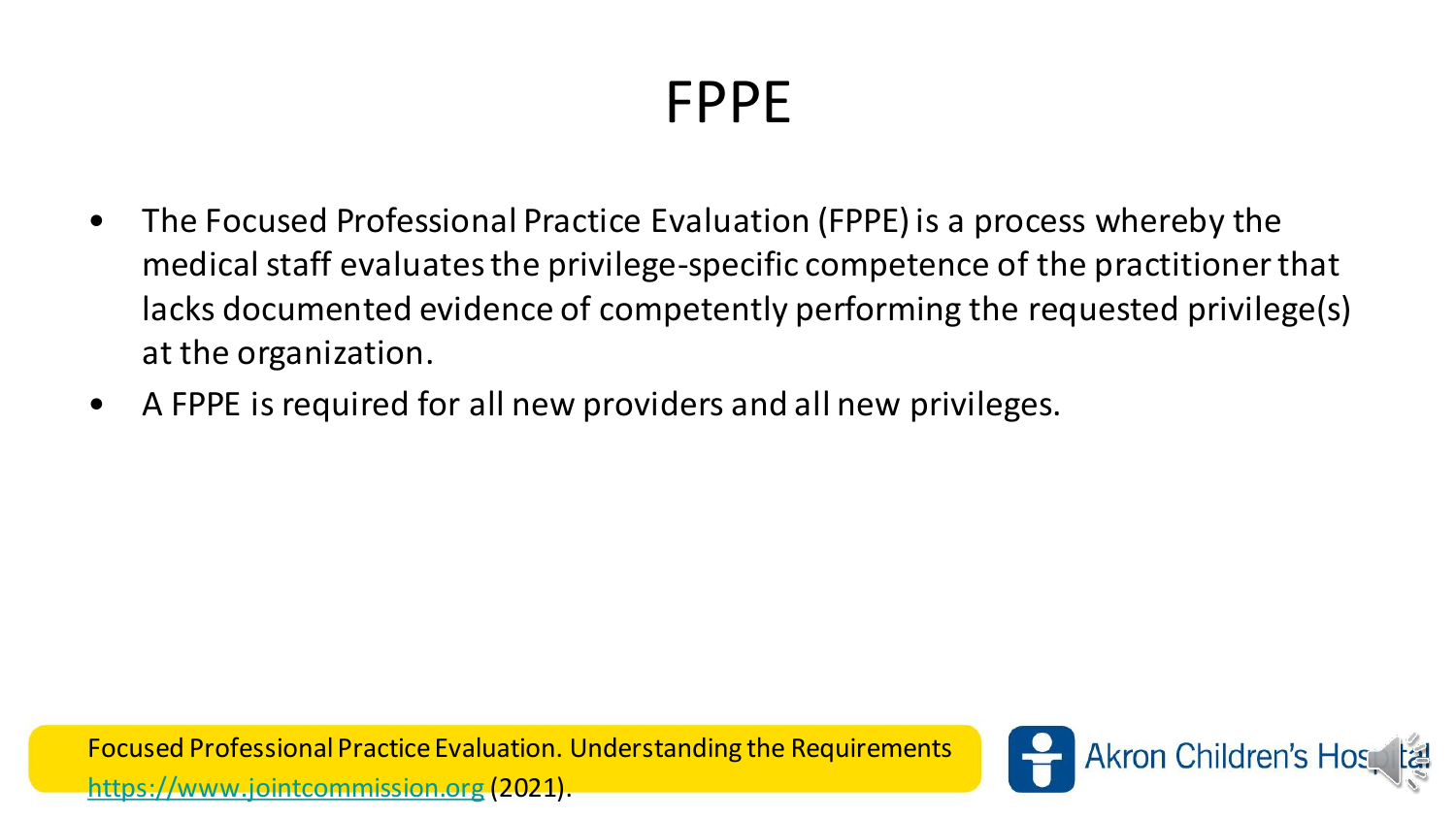#### FPPE

- The Focused Professional Practice Evaluation (FPPE) is a process whereby the medical staff evaluates the privilege-specific competence of the practitioner that lacks documented evidence of competently performing the requested privilege(s) at the organization.
- A FPPE is required for all new providers and all new privileges.

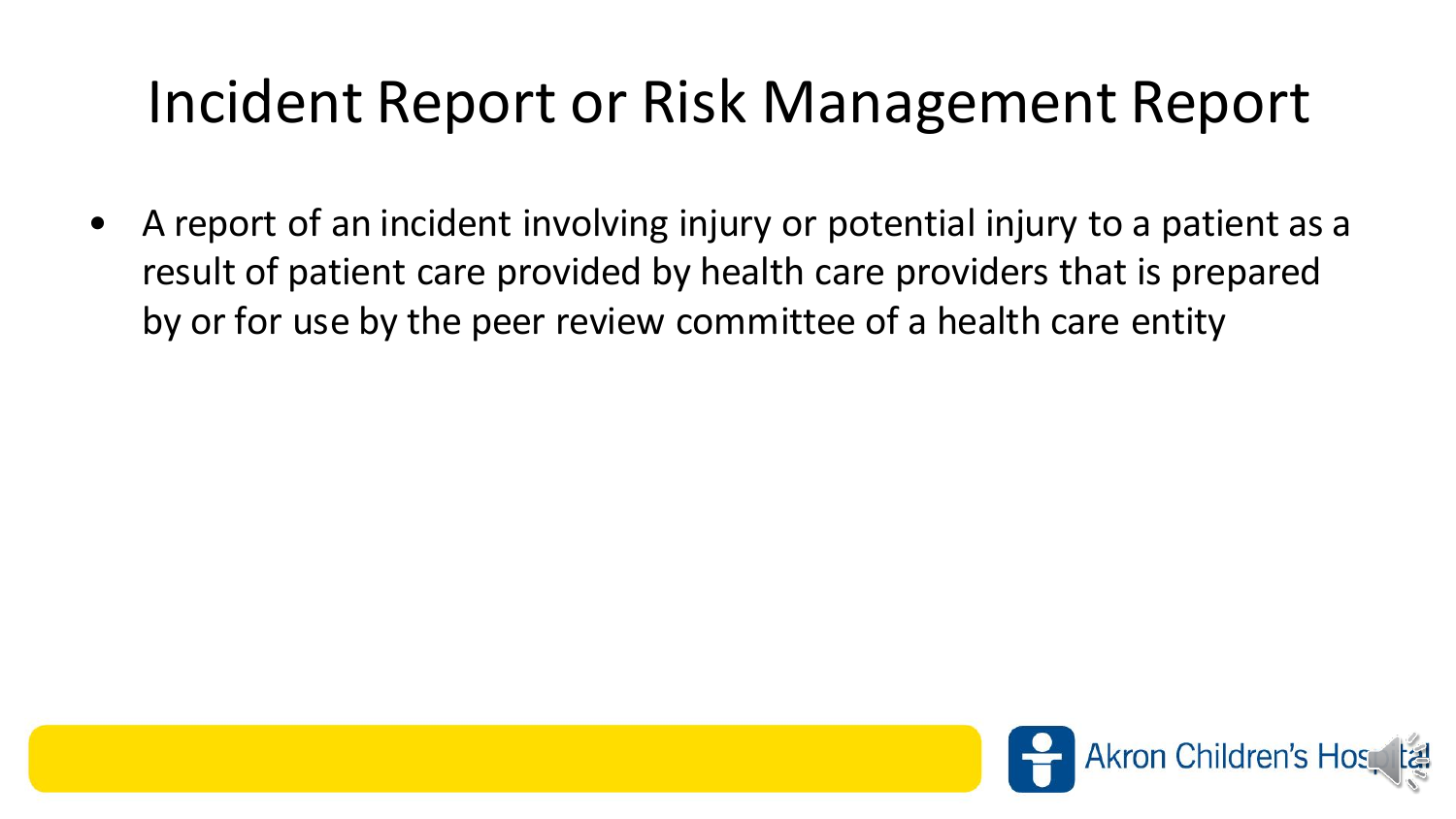#### Incident Report or Risk Management Report

• A report of an incident involving injury or potential injury to a patient as a result of patient care provided by health care providers that is prepared by or for use by the peer review committee of a health care entity

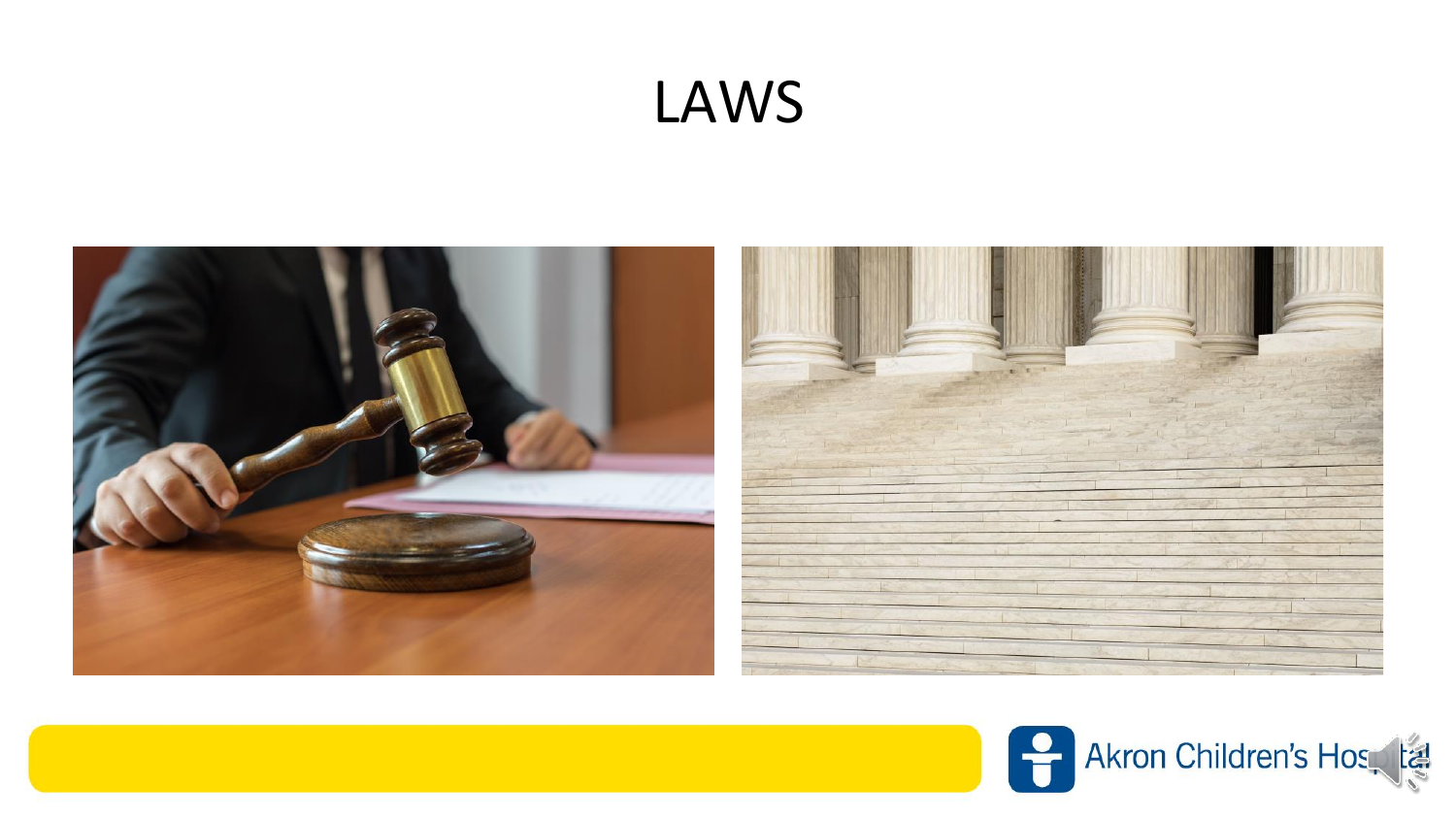#### LAWS



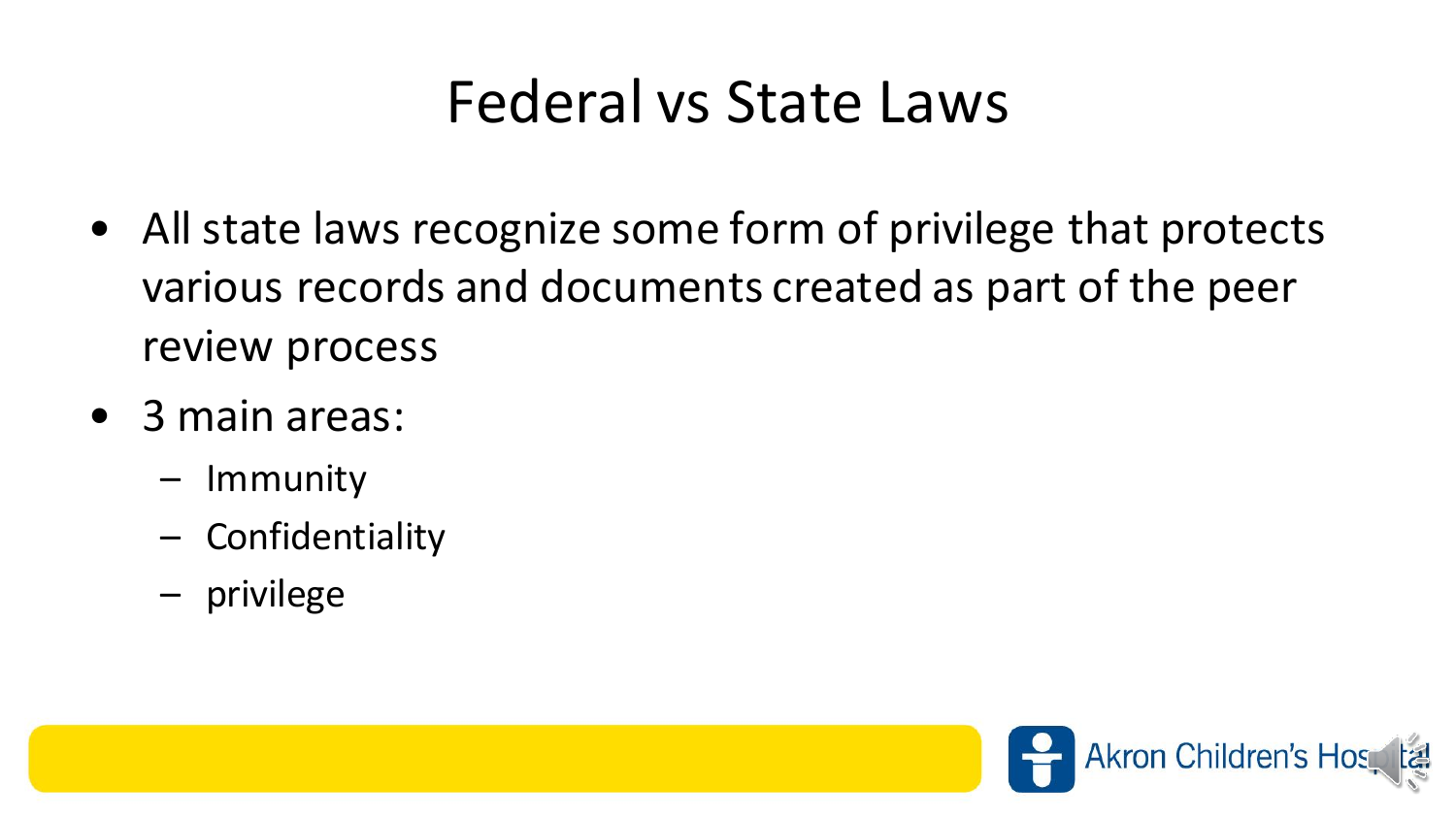#### Federal vs State Laws

- All state laws recognize some form of privilege that protects various records and documents created as part of the peer review process
- 3 main areas:
	- Immunity
	- Confidentiality
	- privilege

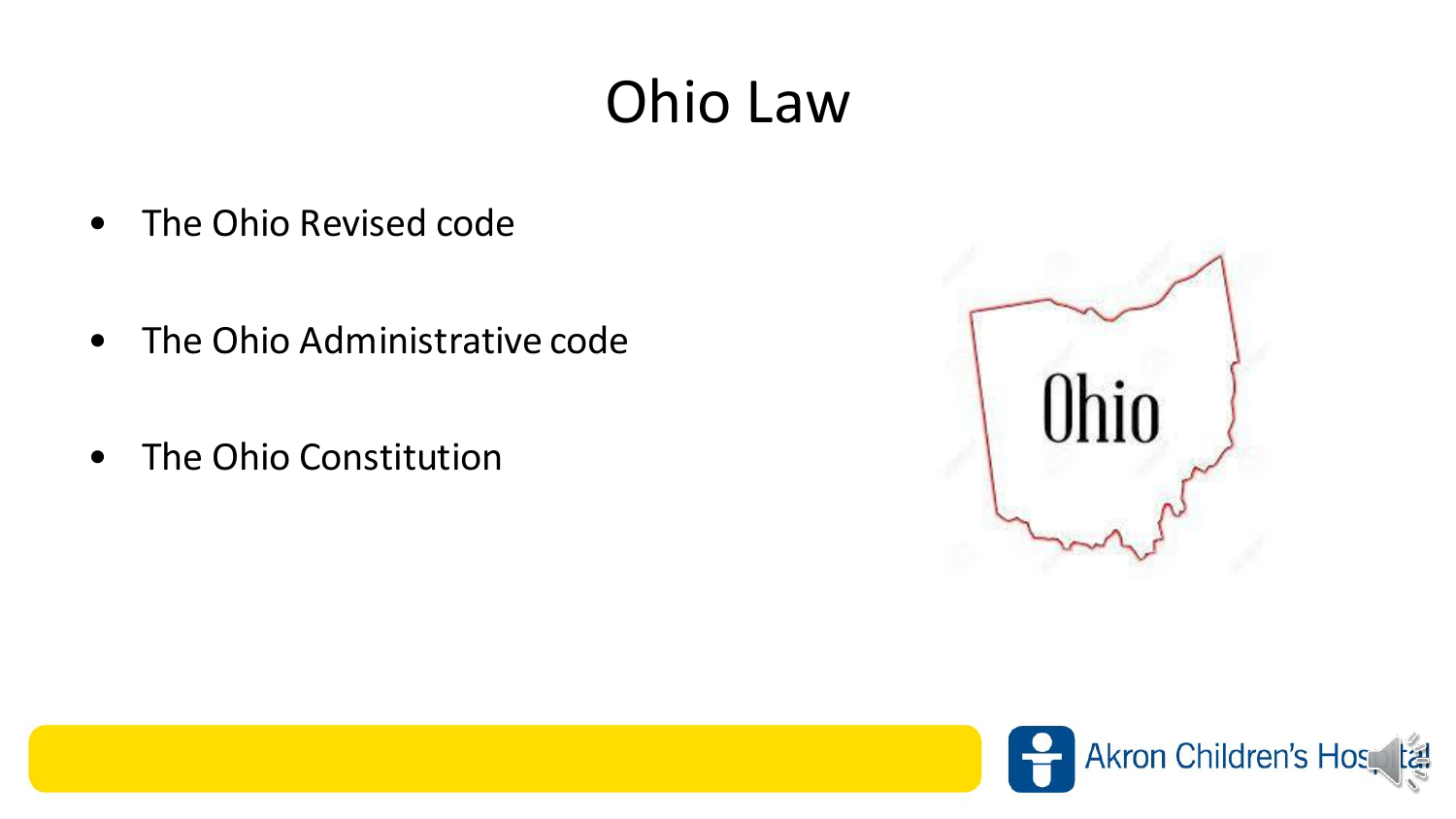## Ohio Law

- The Ohio Revised code
- The Ohio Administrative code
- The Ohio Constitution



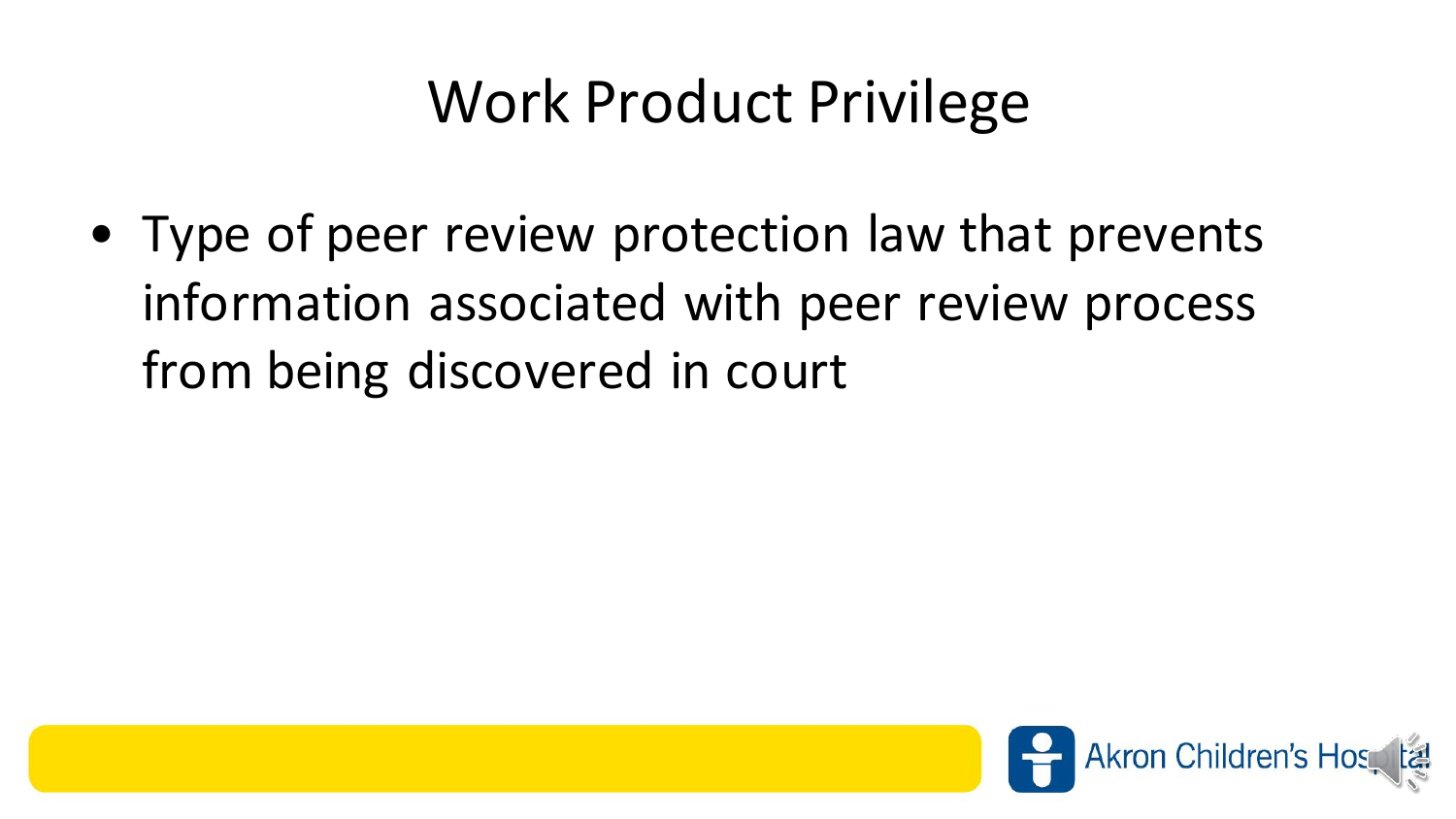#### Work Product Privilege

• Type of peer review protection law that prevents information associated with peer review process from being discovered in court

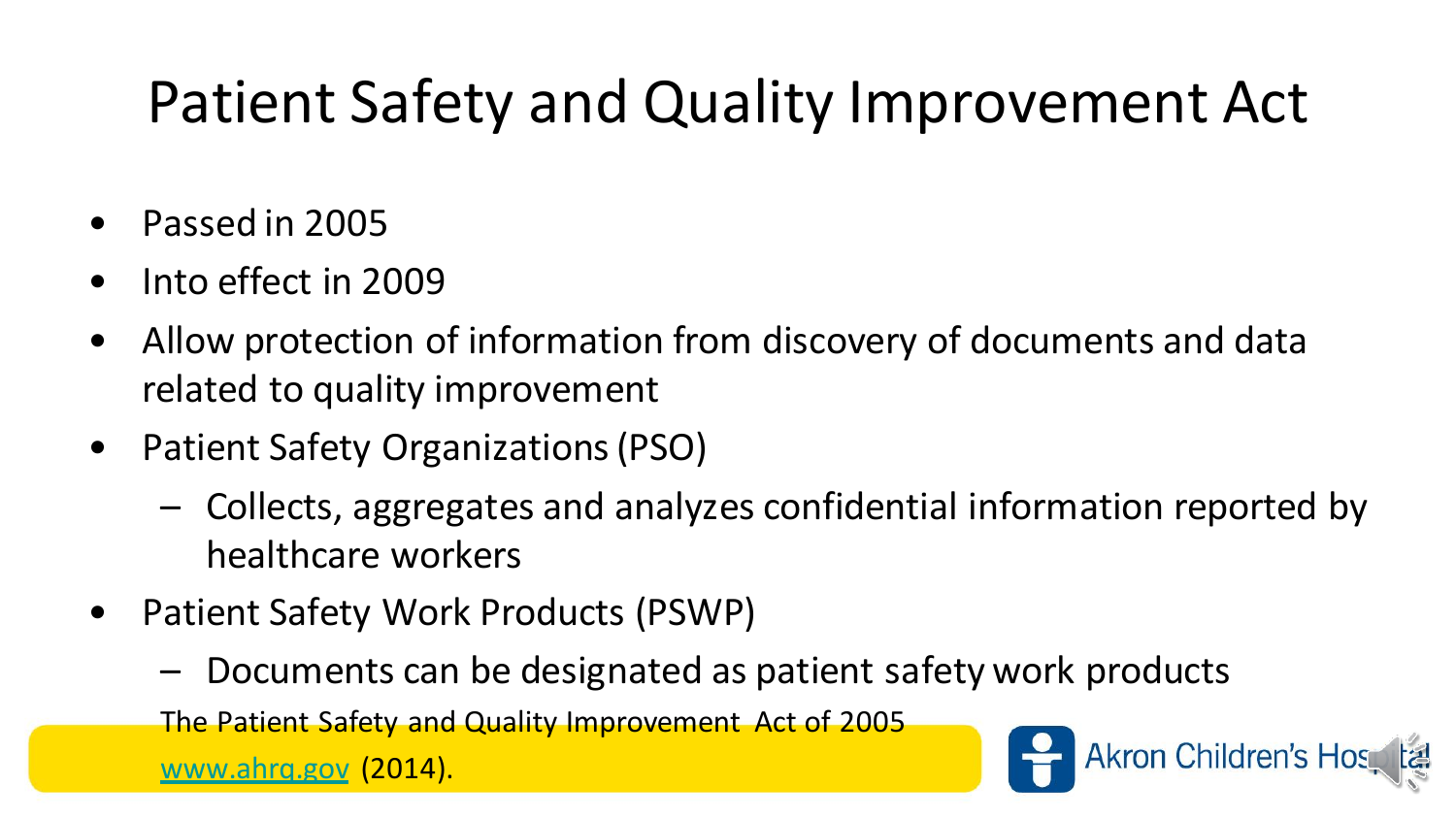# Patient Safety and Quality Improvement Act

- Passed in 2005
- Into effect in 2009
- Allow protection of information from discovery of documents and data related to quality improvement
- Patient Safety Organizations (PSO)
	- Collects, aggregates and analyzes confidential information reported by healthcare workers
- Patient Safety Work Products (PSWP)
	- Documents can be designated as patient safety work products

The Patient Safety and Quality Improvement Act of 2005

[www.ahrq.gov](http://www.ahrq.gov/) (2014).

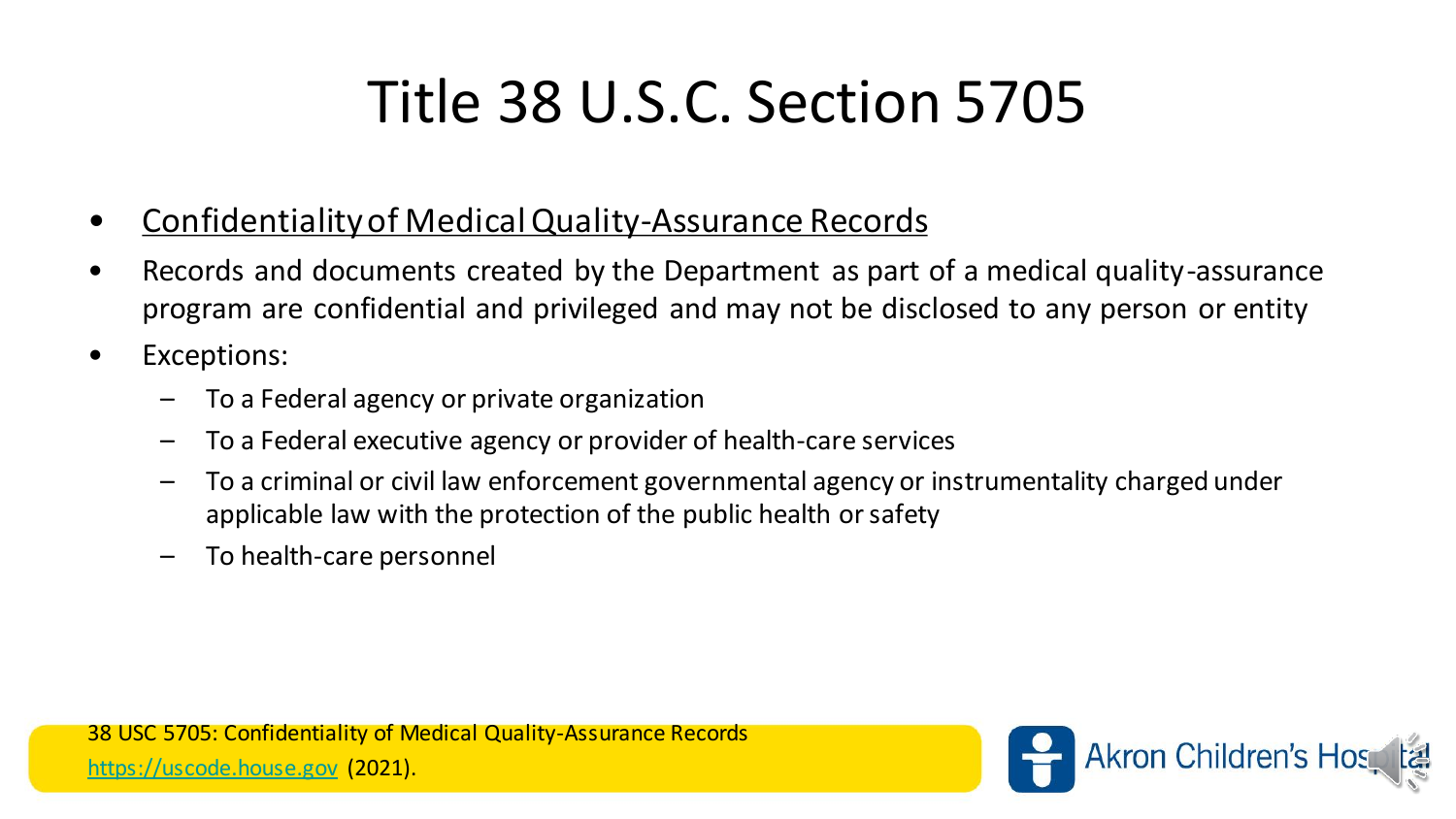# Title 38 U.S.C. Section 5705

- Confidentiality of Medical Quality-Assurance Records
- Records and documents created by the Department as part of a medical quality-assurance program are confidential and privileged and may not be disclosed to any person or entity
- Exceptions:
	- To a Federal agency or private organization
	- To a Federal executive agency or provider of health-care services
	- To a criminal or civil law enforcement governmental agency or instrumentality charged under applicable law with the protection of the public health or safety
	- To health-care personnel

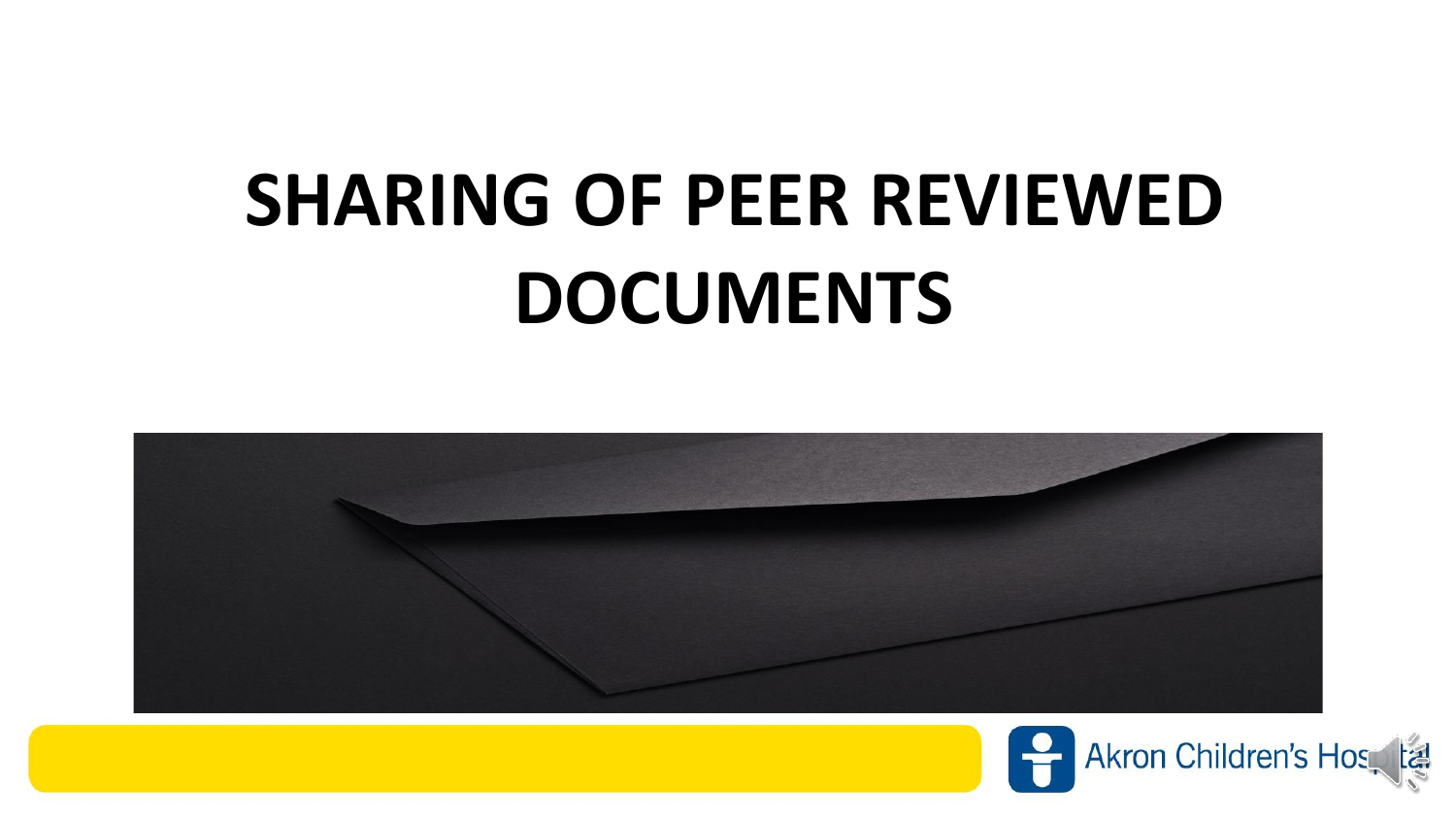# **SHARING OF PEER REVIEWED DOCUMENTS**



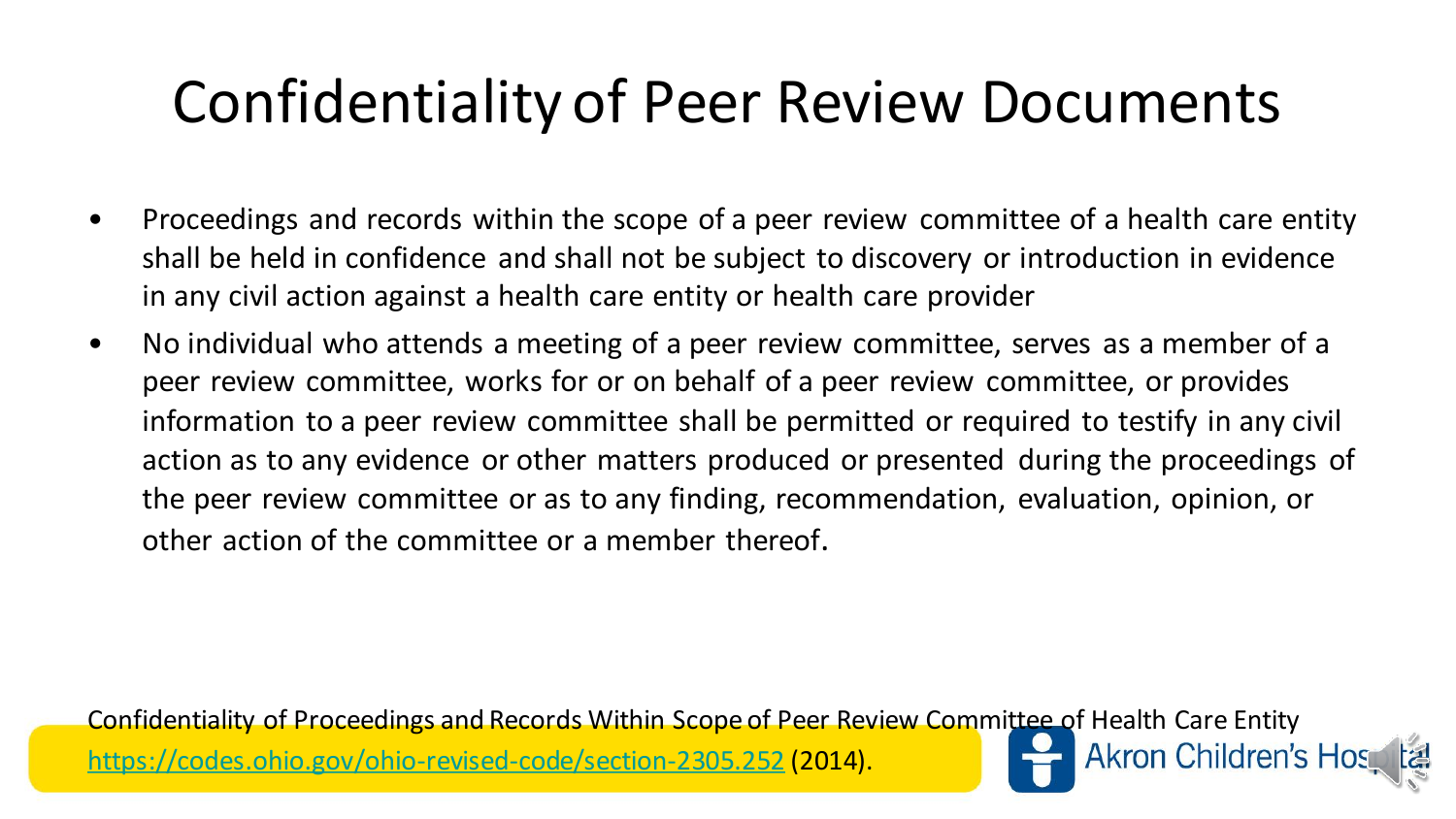## Confidentiality of Peer Review Documents

- Proceedings and records within the scope of a peer review committee of a health care entity shall be held in confidence and shall not be subject to discovery or introduction in evidence in any civil action against a health care entity or health care provider
- No individual who attends a meeting of a peer review committee, serves as a member of a peer review committee, works for or on behalf of a peer review committee, or provides information to a peer review committee shall be permitted or required to testify in any civil action as to any evidence or other matters produced or presented during the proceedings of the peer review committee or as to any finding, recommendation, evaluation, opinion, or other action of the committee or a member thereof.

Confidentiality of Proceedings and Records Within Scope of Peer Review Committee of Health Care Entity **Akron Children's Hos** <https://codes.ohio.gov/ohio-revised-code/section-2305.252> (2014).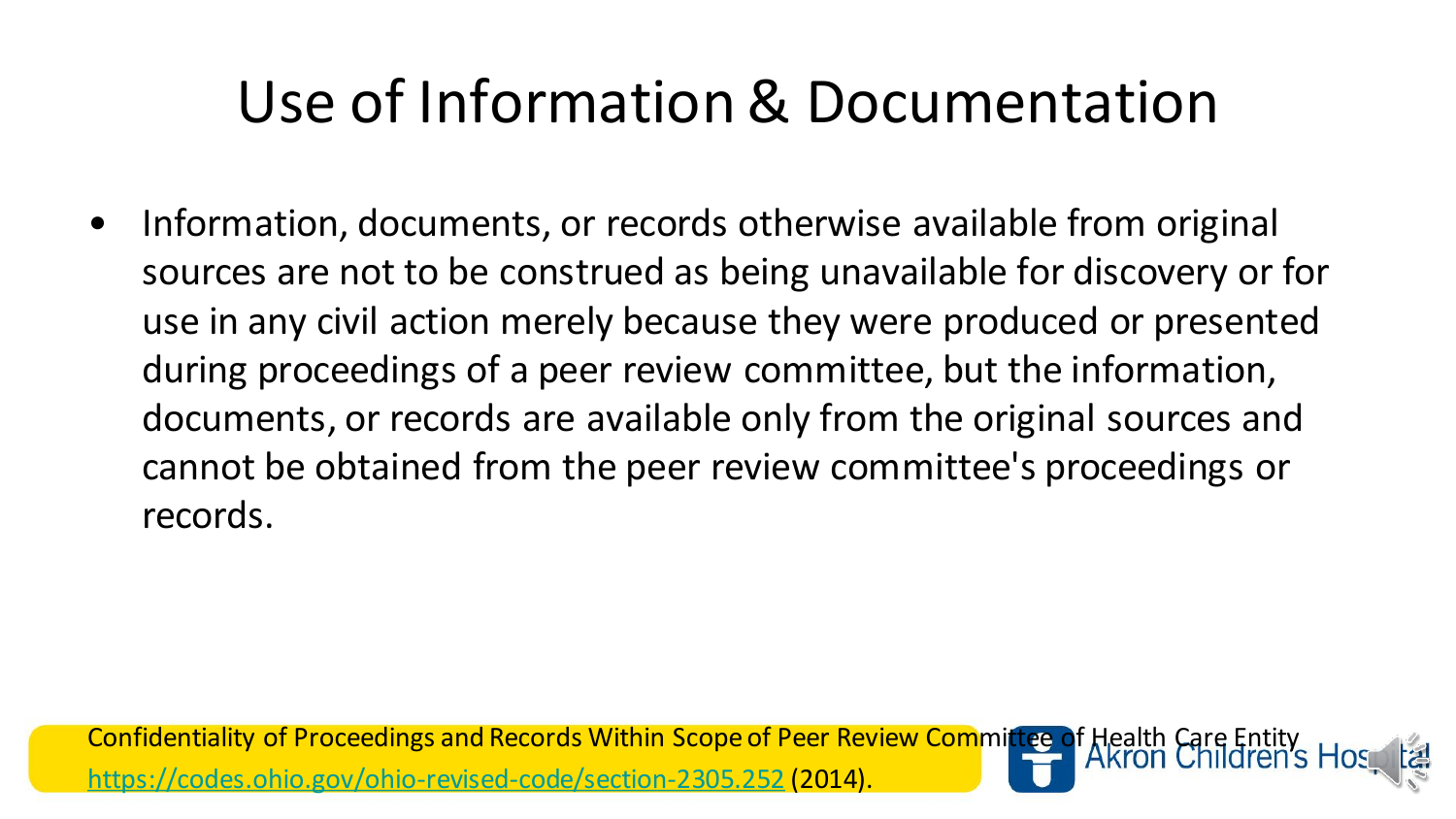# Use of Information & Documentation

• Information, documents, or records otherwise available from original sources are not to be construed as being unavailable for discovery or for use in any civil action merely because they were produced or presented during proceedings of a peer review committee, but the information, documents, or records are available only from the original sources and cannot be obtained from the peer review committee's proceedings or records.

Confidentiality of Proceedings and Records Within Scope of Peer Review Committee of Health Care Entity <https://codes.ohio.gov/ohio-revised-code/section-2305.252> (2014).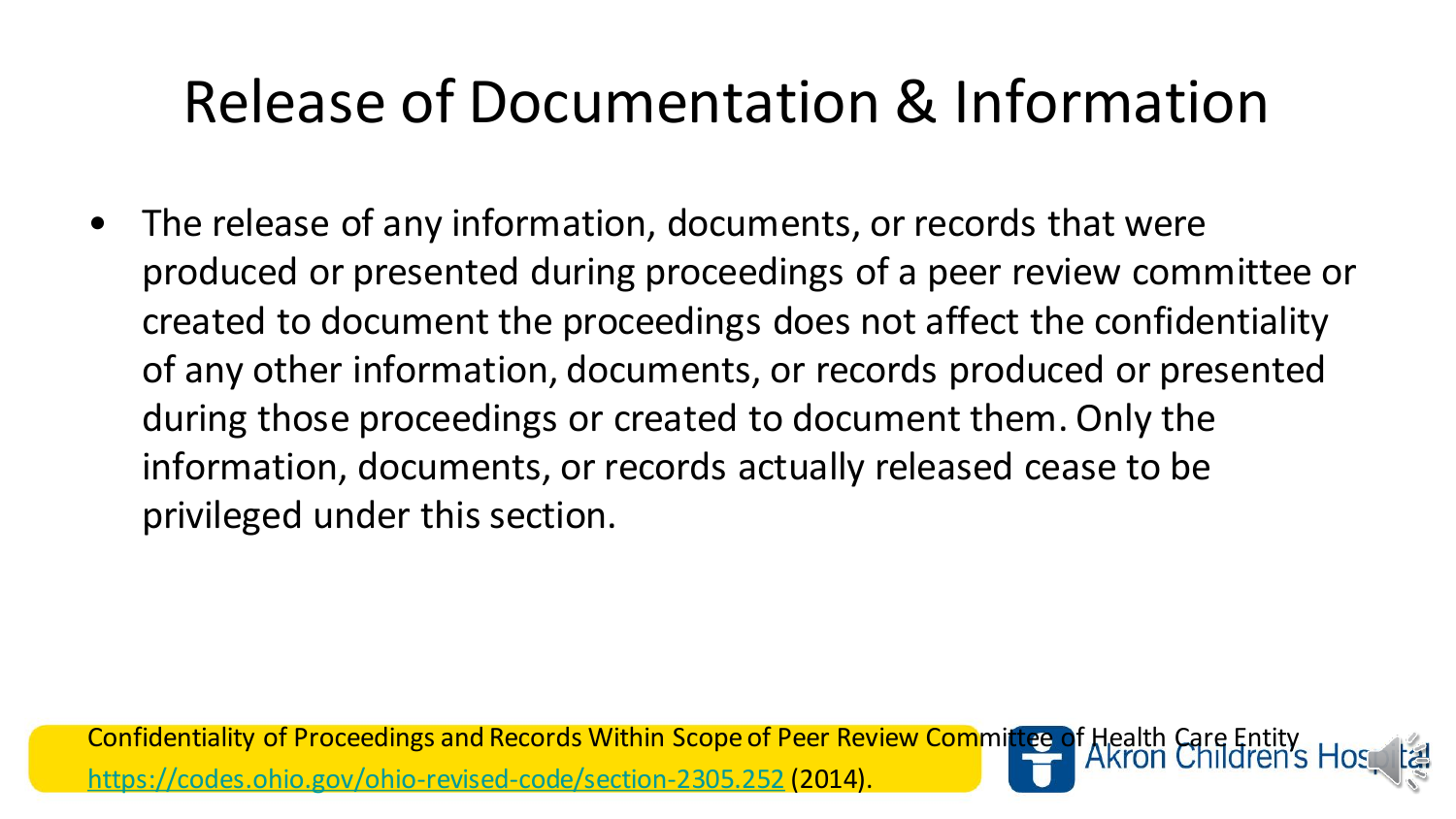# Release of Documentation & Information

• The release of any information, documents, or records that were produced or presented during proceedings of a peer review committee or created to document the proceedings does not affect the confidentiality of any other information, documents, or records produced or presented during those proceedings or created to document them. Only the information, documents, or records actually released cease to be privileged under this section.

Confidentiality of Proceedings and Records Within Scope of Peer Review Committee of Health Care Entit <https://codes.ohio.gov/ohio-revised-code/section-2305.252> (2014).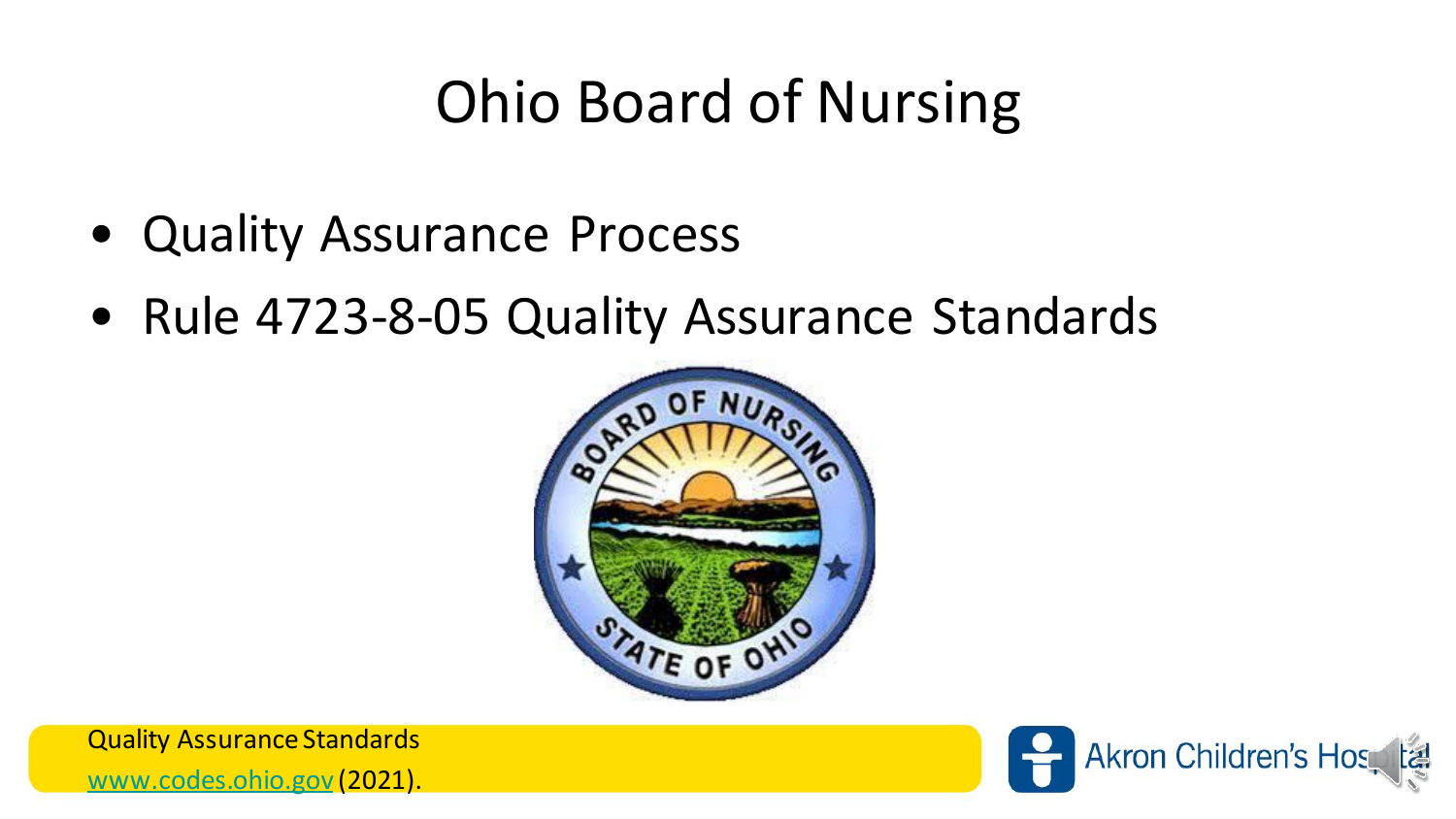# Ohio Board of Nursing

- Quality Assurance Process
- Rule 4723-8-05 Quality Assurance Standards



Quality Assurance Standards [www.codes.ohio.gov](http://www.codes.ohio.gov/) (2021).

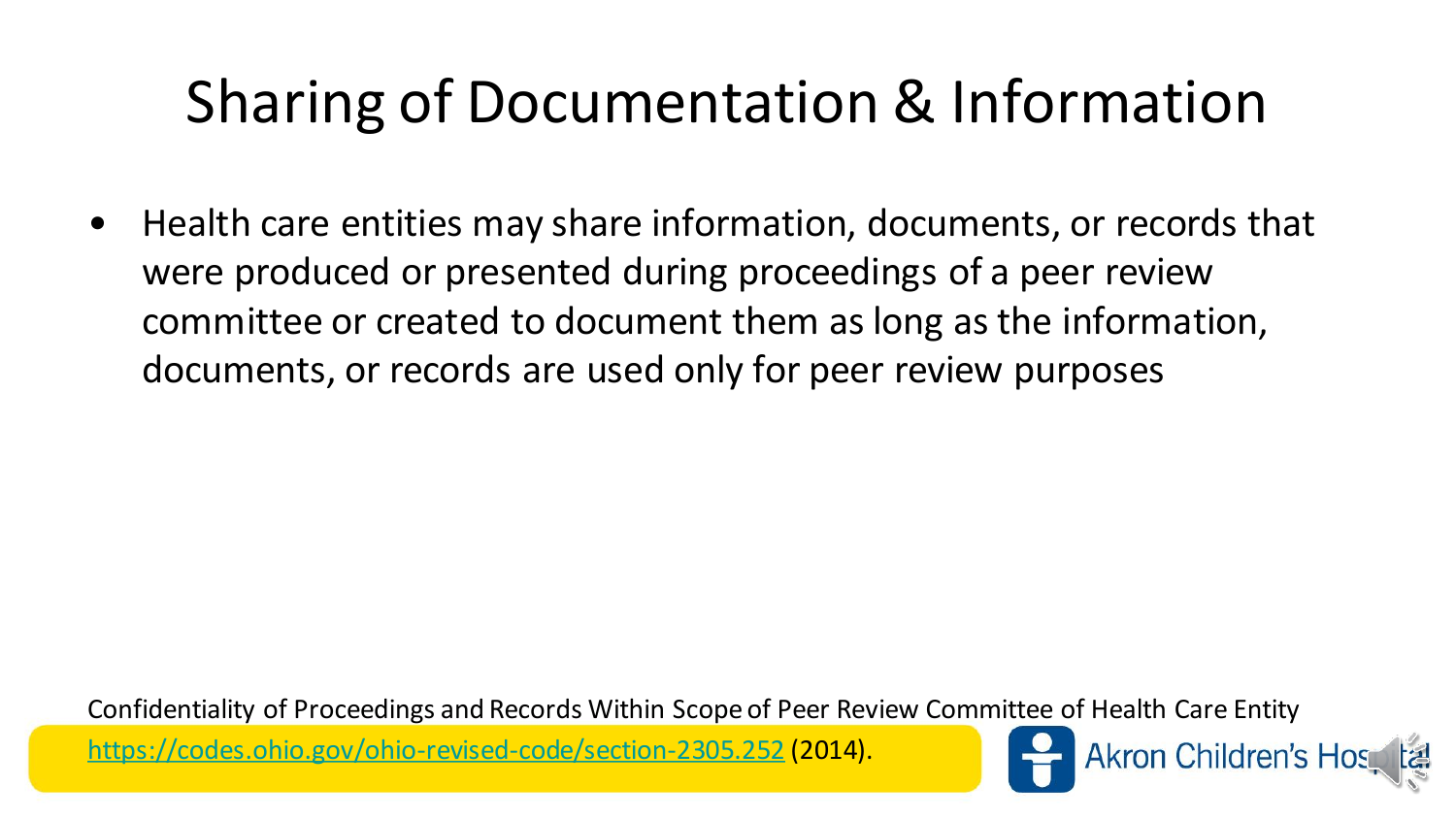# Sharing of Documentation & Information

• Health care entities may share information, documents, or records that were produced or presented during proceedings of a peer review committee or created to document them as long as the information, documents, or records are used only for peer review purposes

Confidentiality of Proceedings and Records Within Scope of Peer Review Committee of Health Care Entity Akron Children's Hos <https://codes.ohio.gov/ohio-revised-code/section-2305.252> (2014).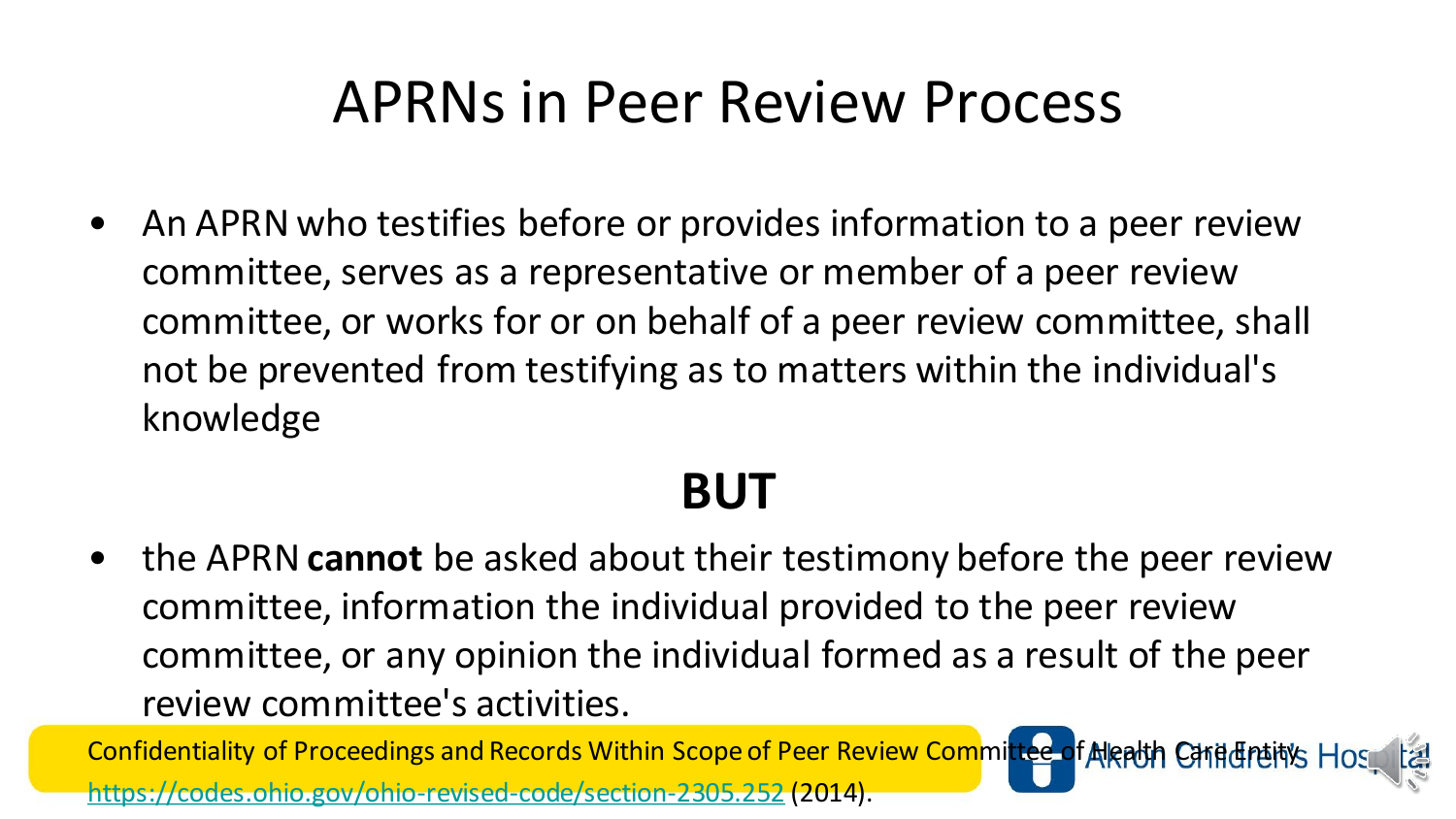#### APRNs in Peer Review Process

• An APRN who testifies before or provides information to a peer review committee, serves as a representative or member of a peer review committee, or works for or on behalf of a peer review committee, shall not be prevented from testifying as to matters within the individual's knowledge

#### **BUT**

• the APRN **cannot** be asked about their testimony before the peer review committee, information the individual provided to the peer review committee, or any opinion the individual formed as a result of the peer review committee's activities.

Confidentiality of Proceedings and Records Within Scope of Peer Review Committee of Alealth Carid Treints Hos <https://codes.ohio.gov/ohio-revised-code/section-2305.252> (2014).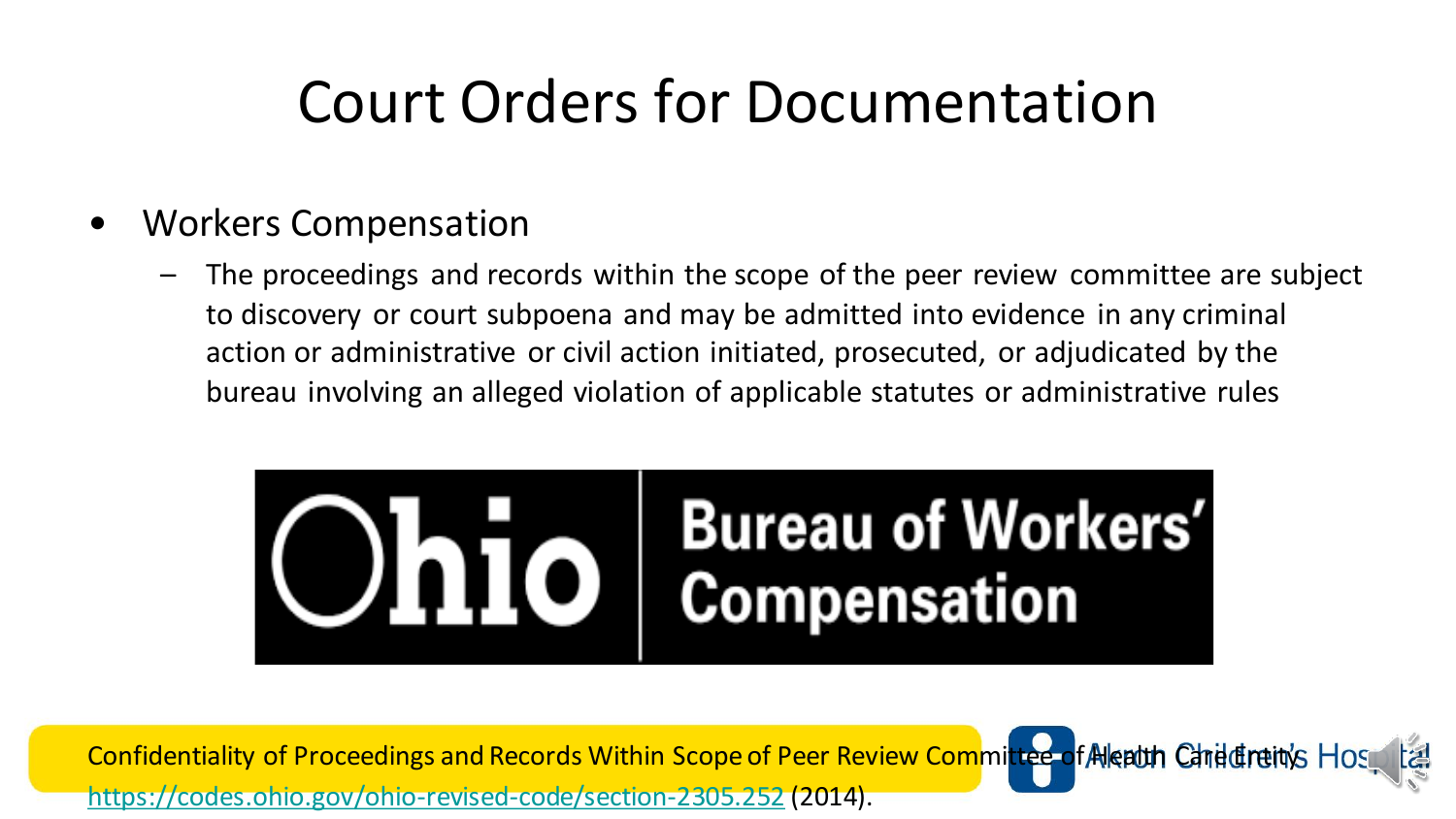#### Court Orders for Documentation

- Workers Compensation
	- The proceedings and records within the scope of the peer review committee are subject to discovery or court subpoena and may be admitted into evidence in any criminal action or administrative or civil action initiated, prosecuted, or adjudicated by the bureau involving an alleged violation of applicable statutes or administrative rules



Confidentiality of Proceedings and Records Within Scope of Peer Review Committee of Alealth Carite Freity Ho <https://codes.ohio.gov/ohio-revised-code/section-2305.252> (2014).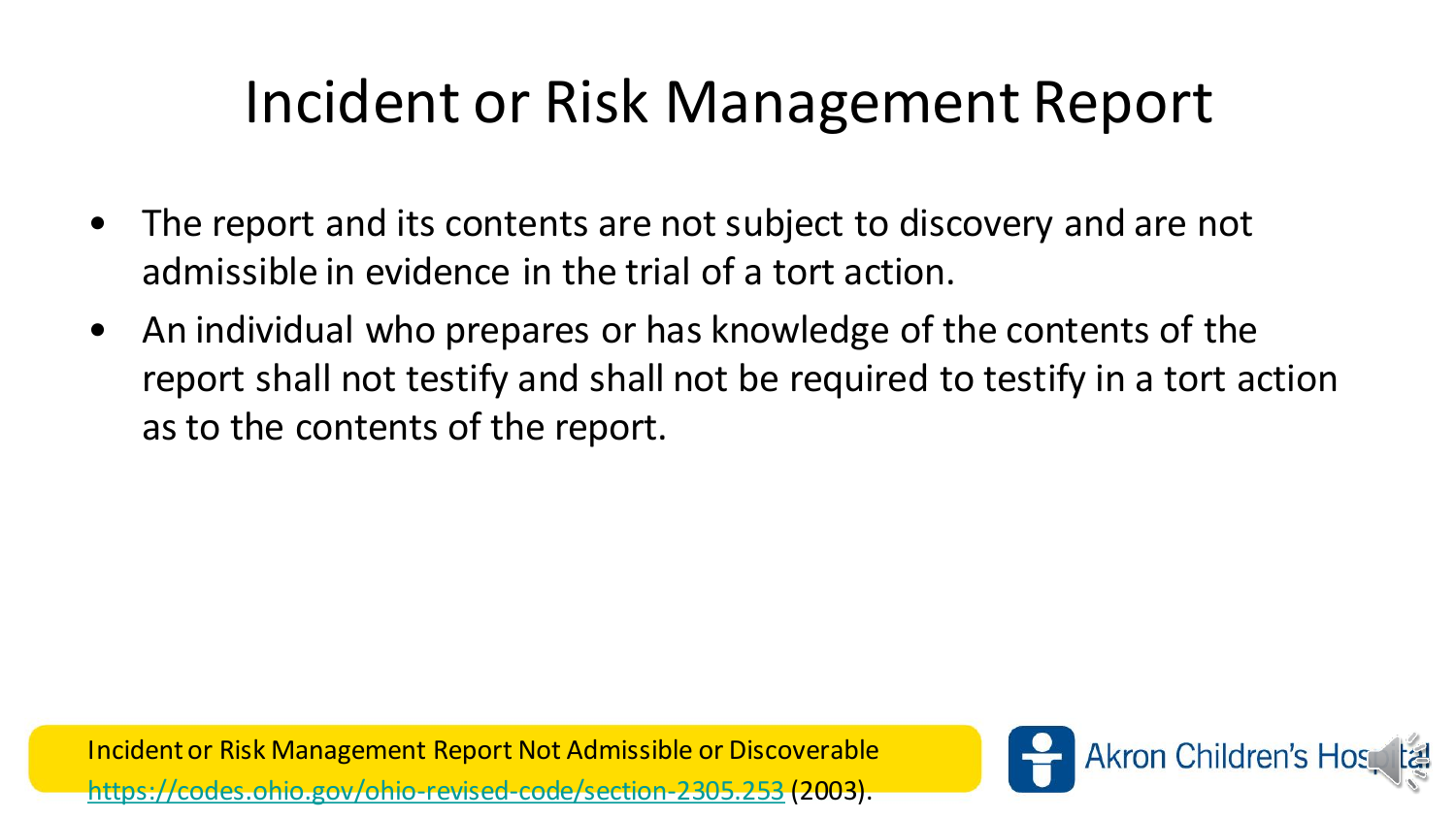# Incident or Risk Management Report

- The report and its contents are not subject to discovery and are not admissible in evidence in the trial of a tort action.
- An individual who prepares or has knowledge of the contents of the report shall not testify and shall not be required to testify in a tort action as to the contents of the report.

Incident or Risk Management Report Not Admissible or Discoverable <https://codes.ohio.gov/ohio-revised-code/section-2305.253> (2003).

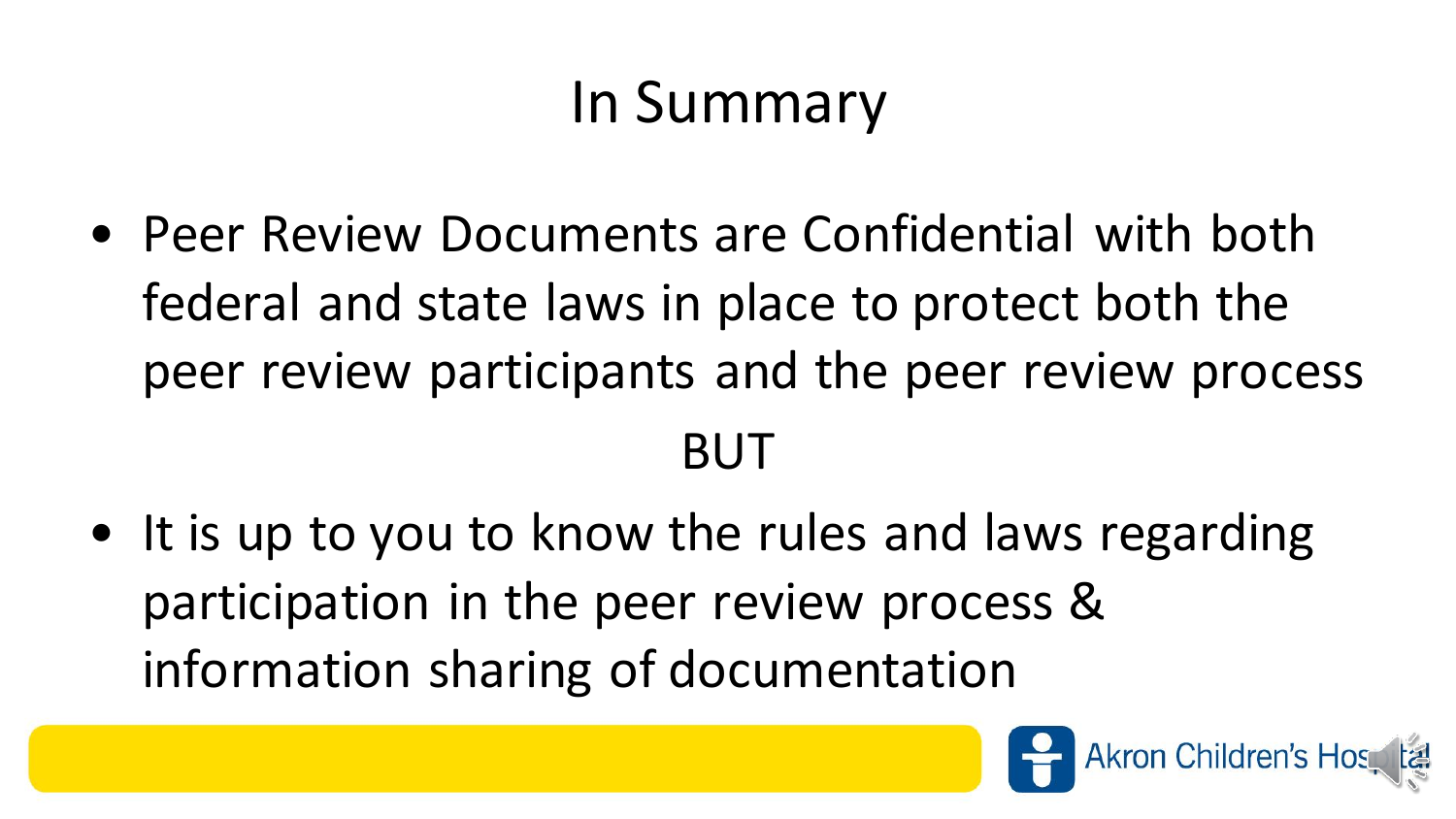# In Summary

• Peer Review Documents are Confidential with both federal and state laws in place to protect both the peer review participants and the peer review process

#### BUT

• It is up to you to know the rules and laws regarding participation in the peer review process & information sharing of documentation